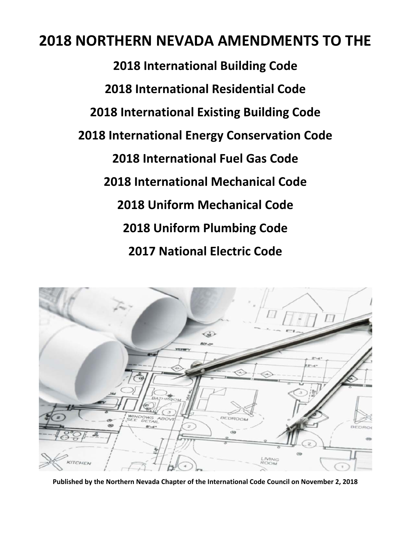# **NORTHERN NEVADA AMENDMENTS TO THE**

 **International Building Code International Residential Code International Existing Building Code International Energy Conservation Code International Fuel Gas Code International Mechanical Code Uniform Mechanical Code Uniform Plumbing Code National Electric Code**



**Published by the Northern Nevada Chapter of the International Code Council on November 2, 2018**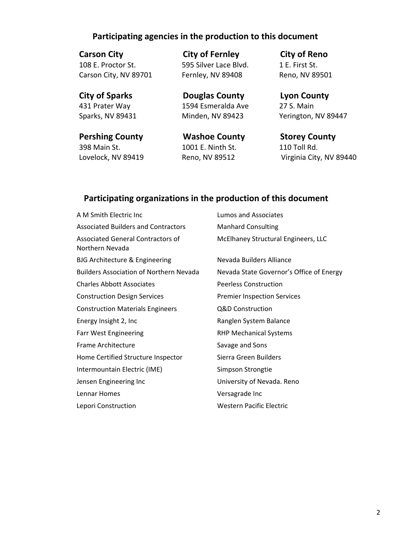# **Participating agencies in the production to this document**

 **Carson City City of Fernley City of Reno** 108 E. Proctor St. 595 Silver Lace Blvd. 1 E. First St. Carson City, NV 89701 Fernley, NV 89408 Reno, NV 89501

 **Pershing County Washoe County Storey County** 398 Main St. 1001 E. Ninth St. 110 Toll Rd.

 **City of Sparks Douglas County Lyon County** 431 Prater Way 1594 Esmeralda Ave 27 S. Main

Sparks, NV 89431 Minden, NV 89423 Yerington, NV 89447

Lovelock, NV 89419 Reno, NV 89512 Virginia City, NV 89440

# **Participating organizations in the production of this document**

| A M Smith Electric Inc                               | Lumos and Associates                     |
|------------------------------------------------------|------------------------------------------|
| Associated Builders and Contractors                  | <b>Manhard Consulting</b>                |
| Associated General Contractors of<br>Northern Nevada | McElhaney Structural Engineers, LLC      |
| <b>BJG Architecture &amp; Engineering</b>            | Nevada Builders Alliance                 |
| <b>Builders Association of Northern Nevada</b>       | Nevada State Governor's Office of Energy |
| <b>Charles Abbott Associates</b>                     | <b>Peerless Construction</b>             |
| <b>Construction Design Services</b>                  | <b>Premier Inspection Services</b>       |
| <b>Construction Materials Engineers</b>              | Q&D Construction                         |
| Energy Insight 2, Inc                                | Ranglen System Balance                   |
| <b>Farr West Engineering</b>                         | <b>RHP Mechanical Systems</b>            |
| Frame Architecture                                   | Savage and Sons                          |
| Home Certified Structure Inspector                   | Sierra Green Builders                    |
| Intermountain Electric (IME)                         | Simpson Strongtie                        |
| Jensen Engineering Inc                               | University of Nevada. Reno               |
| Lennar Homes                                         | Versagrade Inc                           |
| Lepori Construction                                  | <b>Western Pacific Electric</b>          |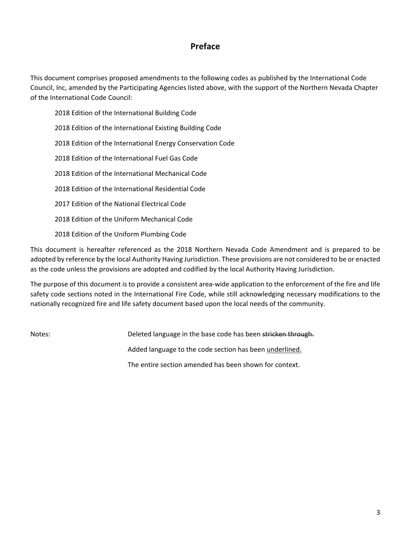# **Preface**

This document comprises proposed amendments to the following codes as published by the International Code Council, Inc, amended by the Participating Agencies listed above, with the support of the Northern Nevada Chapter of the International Code Council:

 Edition of the International Building Code Edition of the International Existing Building Code Edition of the International Energy Conservation Code Edition of the International Fuel Gas Code Edition of the International Mechanical Code Edition of the International Residential Code Edition of the National Electrical Code Edition of the Uniform Mechanical Code

2018 Edition of the Uniform Plumbing Code

This document is hereafter referenced as the 2018 Northern Nevada Code Amendment and is prepared to be adopted by reference by the local Authority Having Jurisdiction. These provisions are not considered to be or enacted as the code unless the provisions are adopted and codified by the local Authority Having Jurisdiction.

The purpose of this document is to provide a consistent area-wide application to the enforcement of the fire and life safety code sections noted in the International Fire Code, while still acknowledging necessary modifications to the nationally recognized fire and life safety document based upon the local needs of the community.

Notes: *Deleted language in the base code has been stricken through.* Added language to the code section has been underlined. The entire section amended has been shown for context.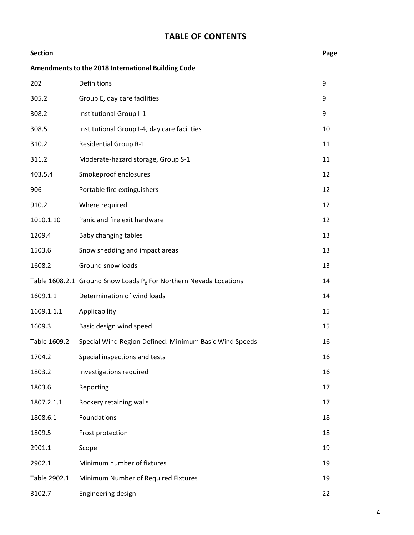# **TABLE OF CONTENTS**

| <b>Section</b> |                                                                      | Page |
|----------------|----------------------------------------------------------------------|------|
|                | Amendments to the 2018 International Building Code                   |      |
| 202            | Definitions                                                          | 9    |
| 305.2          | Group E, day care facilities                                         | 9    |
| 308.2          | Institutional Group I-1                                              | 9    |
| 308.5          | Institutional Group I-4, day care facilities                         | 10   |
| 310.2          | <b>Residential Group R-1</b>                                         | 11   |
| 311.2          | Moderate-hazard storage, Group S-1                                   | 11   |
| 403.5.4        | Smokeproof enclosures                                                | 12   |
| 906            | Portable fire extinguishers                                          | 12   |
| 910.2          | Where required                                                       | 12   |
| 1010.1.10      | Panic and fire exit hardware                                         | 12   |
| 1209.4         | Baby changing tables                                                 | 13   |
| 1503.6         | Snow shedding and impact areas                                       | 13   |
| 1608.2         | Ground snow loads                                                    | 13   |
|                | Table 1608.2.1 Ground Snow Loads $P_g$ For Northern Nevada Locations | 14   |
| 1609.1.1       | Determination of wind loads                                          | 14   |
| 1609.1.1.1     | Applicability                                                        | 15   |
| 1609.3         | Basic design wind speed                                              | 15   |
| Table 1609.2   | Special Wind Region Defined: Minimum Basic Wind Speeds               | 16   |
| 1704.2         | Special inspections and tests                                        | 16   |
| 1803.2         | Investigations required                                              | 16   |
| 1803.6         | Reporting                                                            | 17   |
| 1807.2.1.1     | Rockery retaining walls                                              | 17   |
| 1808.6.1       | Foundations                                                          | 18   |
| 1809.5         | Frost protection                                                     | 18   |
| 2901.1         | Scope                                                                | 19   |
| 2902.1         | Minimum number of fixtures                                           | 19   |
| Table 2902.1   | Minimum Number of Required Fixtures                                  | 19   |
| 3102.7         | Engineering design                                                   | 22   |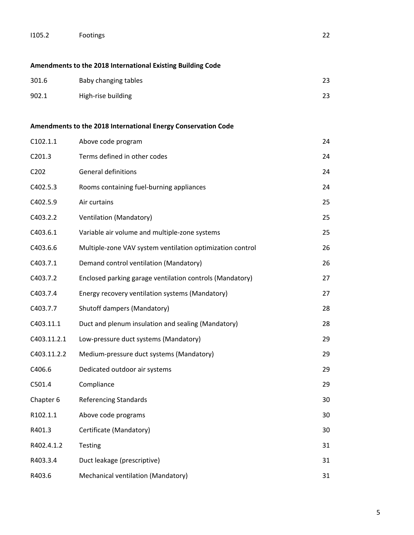| 1105.2 | <b>Footings</b> | $\sim$<br>22 |
|--------|-----------------|--------------|
|--------|-----------------|--------------|

**Amendments to the 2018 International Existing Building Code** 

| 301.6 | Baby changing tables | 23 |
|-------|----------------------|----|
| 902.1 | High-rise building   | 23 |

### **Amendments to the 2018 International Energy Conservation Code**

| C102.1.1                      | Above code program                                        | 24 |
|-------------------------------|-----------------------------------------------------------|----|
| C201.3                        | Terms defined in other codes                              | 24 |
| C <sub>2</sub> 0 <sub>2</sub> | <b>General definitions</b>                                | 24 |
| C402.5.3                      | Rooms containing fuel-burning appliances                  | 24 |
| C402.5.9                      | Air curtains                                              | 25 |
| C403.2.2                      | Ventilation (Mandatory)                                   | 25 |
| C403.6.1                      | Variable air volume and multiple-zone systems             | 25 |
| C403.6.6                      | Multiple-zone VAV system ventilation optimization control | 26 |
| C403.7.1                      | Demand control ventilation (Mandatory)                    | 26 |
| C403.7.2                      | Enclosed parking garage ventilation controls (Mandatory)  | 27 |
| C403.7.4                      | Energy recovery ventilation systems (Mandatory)           | 27 |
| C403.7.7                      | Shutoff dampers (Mandatory)                               | 28 |
| C403.11.1                     | Duct and plenum insulation and sealing (Mandatory)        | 28 |
| C403.11.2.1                   | Low-pressure duct systems (Mandatory)                     | 29 |
| C403.11.2.2                   | Medium-pressure duct systems (Mandatory)                  | 29 |
| C406.6                        | Dedicated outdoor air systems                             | 29 |
| C501.4                        | Compliance                                                | 29 |
| Chapter 6                     | <b>Referencing Standards</b>                              | 30 |
| R102.1.1                      | Above code programs                                       | 30 |
| R401.3                        | Certificate (Mandatory)                                   | 30 |
| R402.4.1.2                    | <b>Testing</b>                                            | 31 |
| R403.3.4                      | Duct leakage (prescriptive)                               | 31 |
| R403.6                        | Mechanical ventilation (Mandatory)                        | 31 |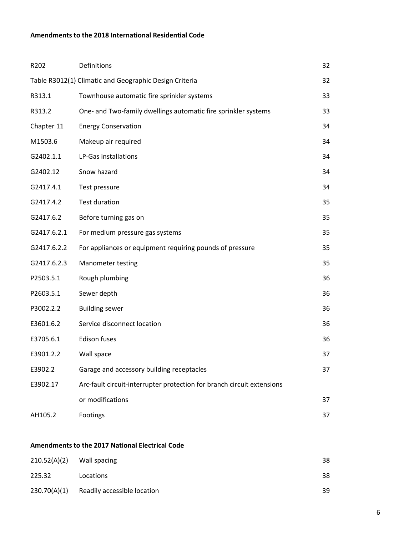#### **Amendments to the 2018 International Residential Code**

| R202        | Definitions                                                            | 32 |
|-------------|------------------------------------------------------------------------|----|
|             | Table R3012(1) Climatic and Geographic Design Criteria                 | 32 |
| R313.1      | Townhouse automatic fire sprinkler systems                             | 33 |
| R313.2      | One- and Two-family dwellings automatic fire sprinkler systems         | 33 |
| Chapter 11  | <b>Energy Conservation</b>                                             | 34 |
| M1503.6     | Makeup air required                                                    | 34 |
| G2402.1.1   | LP-Gas installations                                                   | 34 |
| G2402.12    | Snow hazard                                                            | 34 |
| G2417.4.1   | Test pressure                                                          | 34 |
| G2417.4.2   | <b>Test duration</b>                                                   | 35 |
| G2417.6.2   | Before turning gas on                                                  | 35 |
| G2417.6.2.1 | For medium pressure gas systems                                        | 35 |
| G2417.6.2.2 | For appliances or equipment requiring pounds of pressure               | 35 |
| G2417.6.2.3 | Manometer testing                                                      | 35 |
| P2503.5.1   | Rough plumbing                                                         | 36 |
| P2603.5.1   | Sewer depth                                                            | 36 |
| P3002.2.2   | <b>Building sewer</b>                                                  | 36 |
| E3601.6.2   | Service disconnect location                                            | 36 |
| E3705.6.1   | <b>Edison fuses</b>                                                    | 36 |
| E3901.2.2   | Wall space                                                             | 37 |
| E3902.2     | Garage and accessory building receptacles                              | 37 |
| E3902.17    | Arc-fault circuit-interrupter protection for branch circuit extensions |    |
|             | or modifications                                                       | 37 |
| AH105.2     | Footings                                                               | 37 |

### **Amendments to the 2017 National Electrical Code**

| 210.52(A)(2) | Wall spacing                | 38 |
|--------------|-----------------------------|----|
| 225.32       | Locations                   | 38 |
| 230.70(A)(1) | Readily accessible location | 39 |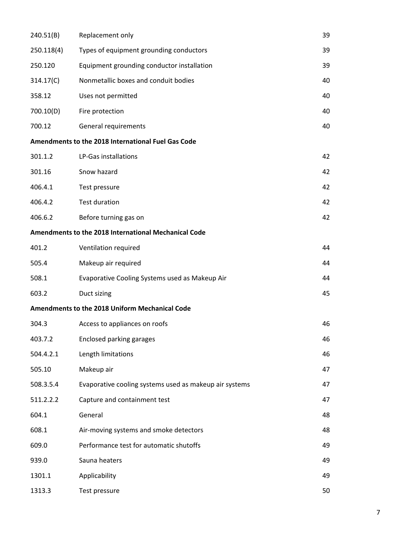| 240.51(B)  | Replacement only                                       | 39 |
|------------|--------------------------------------------------------|----|
| 250.118(4) | Types of equipment grounding conductors                | 39 |
| 250.120    | Equipment grounding conductor installation             | 39 |
| 314.17(C)  | Nonmetallic boxes and conduit bodies                   | 40 |
| 358.12     | Uses not permitted                                     | 40 |
| 700.10(D)  | Fire protection                                        | 40 |
| 700.12     | General requirements                                   | 40 |
|            | Amendments to the 2018 International Fuel Gas Code     |    |
| 301.1.2    | LP-Gas installations                                   | 42 |
| 301.16     | Snow hazard                                            | 42 |
| 406.4.1    | Test pressure                                          | 42 |
| 406.4.2    | <b>Test duration</b>                                   | 42 |
| 406.6.2    | Before turning gas on                                  | 42 |
|            | Amendments to the 2018 International Mechanical Code   |    |
| 401.2      | Ventilation required                                   | 44 |
| 505.4      | Makeup air required                                    | 44 |
| 508.1      | Evaporative Cooling Systems used as Makeup Air         | 44 |
| 603.2      | Duct sizing                                            | 45 |
|            | Amendments to the 2018 Uniform Mechanical Code         |    |
| 304.3      | Access to appliances on roofs                          | 46 |
| 403.7.2    | <b>Enclosed parking garages</b>                        | 46 |
| 504.4.2.1  | Length limitations                                     | 46 |
| 505.10     | Makeup air                                             | 47 |
| 508.3.5.4  | Evaporative cooling systems used as makeup air systems | 47 |
| 511.2.2.2  | Capture and containment test                           | 47 |
| 604.1      | General                                                | 48 |
| 608.1      | Air-moving systems and smoke detectors                 | 48 |
| 609.0      | Performance test for automatic shutoffs                | 49 |
| 939.0      | Sauna heaters                                          | 49 |
| 1301.1     | Applicability                                          | 49 |
| 1313.3     | Test pressure                                          | 50 |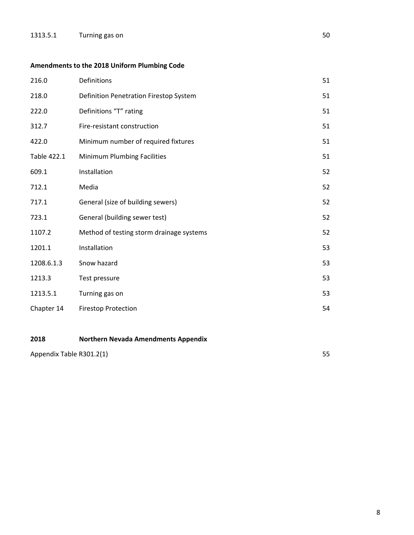# **Amendments to the 2018 Uniform Plumbing Code**

| 216.0       | Definitions                              | 51 |
|-------------|------------------------------------------|----|
| 218.0       | Definition Penetration Firestop System   | 51 |
| 222.0       | Definitions "T" rating                   | 51 |
| 312.7       | Fire-resistant construction              | 51 |
| 422.0       | Minimum number of required fixtures      | 51 |
| Table 422.1 | Minimum Plumbing Facilities              | 51 |
| 609.1       | Installation                             | 52 |
| 712.1       | Media                                    | 52 |
| 717.1       | General (size of building sewers)        | 52 |
| 723.1       | General (building sewer test)            | 52 |
| 1107.2      | Method of testing storm drainage systems | 52 |
| 1201.1      | Installation                             | 53 |
| 1208.6.1.3  | Snow hazard                              | 53 |
| 1213.3      | Test pressure                            | 53 |
| 1213.5.1    | Turning gas on                           | 53 |
| Chapter 14  | <b>Firestop Protection</b>               | 54 |

### **2018 Northern Nevada Amendments Appendix**

| Appendix Table R301.2(1) |  |
|--------------------------|--|
|                          |  |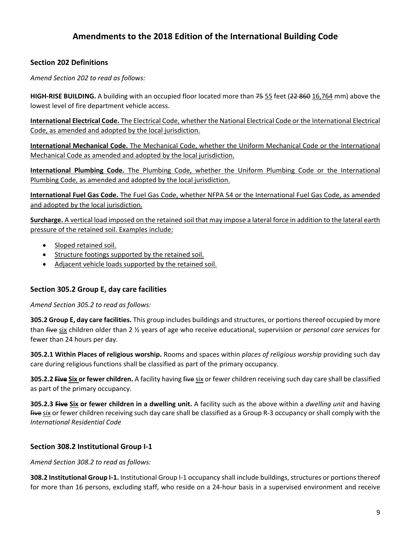# **Amendments to the 2018 Edition of the International Building Code**

### **Section 202 Definitions**

*Amend Section 202 to read as follows:*

**HIGH‐RISE BUILDING.** A building with an occupied floor located more than 75 55 feet (22 860 16,764 mm) above the lowest level of fire department vehicle access.

**International Electrical Code.** The Electrical Code, whether the National Electrical Code or the International Electrical Code, as amended and adopted by the local jurisdiction.

**International Mechanical Code.** The Mechanical Code, whether the Uniform Mechanical Code or the International Mechanical Code as amended and adopted by the local jurisdiction.

**International Plumbing Code.** The Plumbing Code, whether the Uniform Plumbing Code or the International Plumbing Code, as amended and adopted by the local jurisdiction.

**International Fuel Gas Code.** The Fuel Gas Code, whether NFPA 54 or the International Fuel Gas Code, as amended and adopted by the local jurisdiction.

**Surcharge.** A vertical load imposed on the retained soil that may impose a lateral force in addition to the lateral earth pressure of the retained soil. Examples include:

- Sloped retained soil.
- Structure footings supported by the retained soil.
- Adjacent vehicle loads supported by the retained soil.

### **Section 305.2 Group E, day care facilities**

*Amend Section 305.2 to read as follows:*

**305.2 Group E, day care facilities.** This group includes buildings and structures, or portions thereof occupied by more than five six children older than 2 ½ years of age who receive educational, supervision or *personal care services* for fewer than 24 hours per day.

**305.2.1 Within Places of religious worship.** Rooms and spaces within *places of religious worship* providing such day care during religious functions shall be classified as part of the primary occupancy.

**305.2.2 Five Six or fewer children.** A facility having five six or fewer children receiving such day care shall be classified as part of the primary occupancy.

**305.2.3 Five Six or fewer children in a dwelling unit.** A facility such as the above within a *dwelling unit* and having five six or fewer children receiving such day care shall be classified as a Group R-3 occupancy or shall comply with the *International Residential Code*

### **Section 308.2 Institutional Group I‐1**

*Amend Section 308.2 to read as follows:*

**308.2 Institutional Group I-1.** Institutional Group I-1 occupancy shall include buildings, structures or portions thereof for more than 16 persons, excluding staff, who reside on a 24‐hour basis in a supervised environment and receive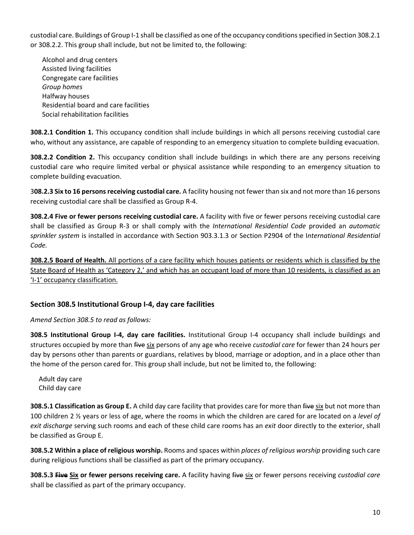custodial care. Buildings of Group I‐1 shall be classified as one of the occupancy conditionsspecified in Section 308.2.1 or 308.2.2. This group shall include, but not be limited to, the following:

 Alcohol and drug centers Assisted living facilities Congregate care facilities  *Group homes* Halfway houses Residential board and care facilities Social rehabilitation facilities

**308.2.1 Condition 1.** This occupancy condition shall include buildings in which all persons receiving custodial care who, without any assistance, are capable of responding to an emergency situation to complete building evacuation.

**308.2.2 Condition 2.** This occupancy condition shall include buildings in which there are any persons receiving custodial care who require limited verbal or physical assistance while responding to an emergency situation to complete building evacuation.

3**08.2.3 Six to 16 personsreceiving custodial care.** A facility housing not fewer than six and not more than 16 persons receiving custodial care shall be classified as Group R‐4.

**308.2.4 Five or fewer persons receiving custodial care.** A facility with five or fewer persons receiving custodial care shall be classified as Group R‐3 or shall comply with the *International Residential Code* provided an *automatic sprinkler system* is installed in accordance with Section 903.3.1.3 or Section P2904 of the I*nternational Residential Code.*

**308.2.5 Board of Health.** All portions of a care facility which houses patients or residents which is classified by the State Board of Health as 'Category 2,' and which has an occupant load of more than 10 residents, is classified as an 'I‐1' occupancy classification.

### **Section 308.5 Institutional Group I‐4, day care facilities**

### *Amend Section 308.5 to read as follows:*

**308.5 Institutional Group I‐4, day care facilities.** Institutional Group I‐4 occupancy shall include buildings and structures occupied by more than five six persons of any age who receive *custodial care* for fewer than 24 hours per day by persons other than parents or guardians, relatives by blood, marriage or adoption, and in a place other than the home of the person cared for. This group shall include, but not be limited to, the following:

 Adult day care Child day care

**308.5.1 Classification as Group E.** A child day care facility that provides care for more than five six but not more than 100 children 2 ½ years or less of age, where the rooms in which the children are cared for are located on a *level of exit discharge* serving such rooms and each of these child care rooms has an *exit* door directly to the exterior, shall be classified as Group E.

**308.5.2 Within a place of religious worship.** Rooms and spaces within *places of religious worship* providing such care during religious functions shall be classified as part of the primary occupancy.

**308.5.3 Five Six or fewer persons receiving care.** A facility having five six or fewer persons receiving *custodial care* shall be classified as part of the primary occupancy.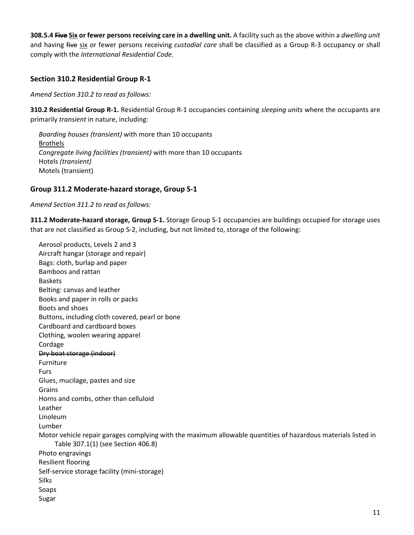**308.5.4 Five Six or fewer persons receiving care in a dwelling unit.** A facility such as the above within a *dwelling unit* and having five six or fewer persons receiving *custodial care* shall be classified as a Group R‐3 occupancy or shall comply with the *International Residential Code.*

### **Section 310.2 Residential Group R‐1**

*Amend Section 310.2 to read as follows:*

**310.2 Residential Group R‐1.** Residential Group R‐1 occupancies containing *sleeping units* where the occupants are primarily *transient* in nature, including:

 *Boarding houses (transient)* with more than 10 occupants Brothels *Congregate living facilities (transient)* with more than 10 occupants Hotels *(transient)* Motels (transient)

### **Group 311.2 Moderate‐hazard storage, Group S‐1**

*Amend Section 311.2 to read as follows:*

**311.2 Moderate‐hazard storage, Group S‐1.** Storage Group S‐1 occupancies are buildings occupied for storage uses that are not classified as Group S‐2, including, but not limited to, storage of the following:

 Aerosol products, Levels 2 and 3 Aircraft hangar (storage and repair) Bags: cloth, burlap and paper Bamboos and rattan Baskets Belting: canvas and leather Books and paper in rolls or packs Boots and shoes Buttons, including cloth covered, pearl or bone Cardboard and cardboard boxes Clothing, woolen wearing apparel Cordage Dry boat storage (indoor) Furniture Furs Glues, mucilage, pastes and size Grains Horns and combs, other than celluloid Leather Linoleum Lumber Motor vehicle repair garages complying with the maximum allowable quantities of hazardous materials listed in Table 307.1(1) (see Section 406.8) Photo engravings Resilient flooring Self‐service storage facility (mini‐storage) Silks Soaps Sugar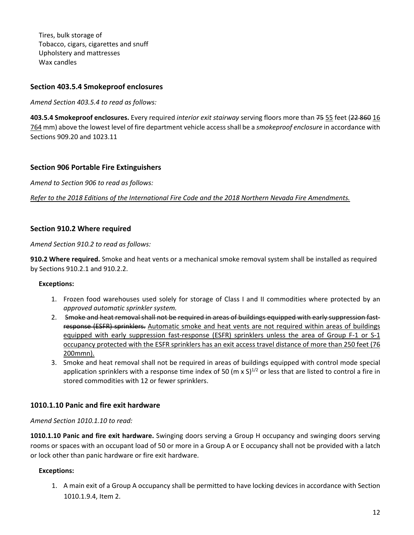Tires, bulk storage of Tobacco, cigars, cigarettes and snuff Upholstery and mattresses Wax candles

### **Section 403.5.4 Smokeproof enclosures**

*Amend Section 403.5.4 to read as follows:*

**403.5.4 Smokeproof enclosures.** Every required *interior exit stairway* serving floors more than 75 55 feet (22 860 16 764 mm) above the lowest level of fire department vehicle accessshall be a *smokeproof enclosure* in accordance with Sections 909.20 and 1023.11

### **Section 906 Portable Fire Extinguishers**

*Amend to Section 906 to read as follows:*

*Refer to the 2018 Editions of the International Fire Code and the 2018 Northern Nevada Fire Amendments.*

### **Section 910.2 Where required**

*Amend Section 910.2 to read as follows:*

**910.2 Where required.** Smoke and heat vents or a mechanical smoke removal system shall be installed as required by Sections 910.2.1 and 910.2.2.

### **Exceptions:**

- 1. Frozen food warehouses used solely for storage of Class I and II commodities where protected by an *approved automatic sprinkler system.*
- 2. Smoke and heat removal shall not be required in areas of buildings equipped with early suppression fastresponse (ESFR) sprinklers. Automatic smoke and heat vents are not required within areas of buildings equipped with early suppression fast-response (ESFR) sprinklers unless the area of Group F-1 or S-1 occupancy protected with the ESFR sprinklers has an exit access travel distance of more than 250 feet (76 200mmn).
- 3. Smoke and heat removal shall not be required in areas of buildings equipped with control mode special application sprinklers with a response time index of 50 (m x  $S$ )<sup>1/2</sup> or less that are listed to control a fire in stored commodities with 12 or fewer sprinklers.

### **1010.1.10 Panic and fire exit hardware**

*Amend Section 1010.1.10 to read:*

**1010.1.10 Panic and fire exit hardware.** Swinging doors serving a Group H occupancy and swinging doors serving rooms or spaces with an occupant load of 50 or more in a Group A or E occupancy shall not be provided with a latch or lock other than panic hardware or fire exit hardware.

### **Exceptions:**

1. A main exit of a Group A occupancy shall be permitted to have locking devices in accordance with Section 1010.1.9.4, Item 2.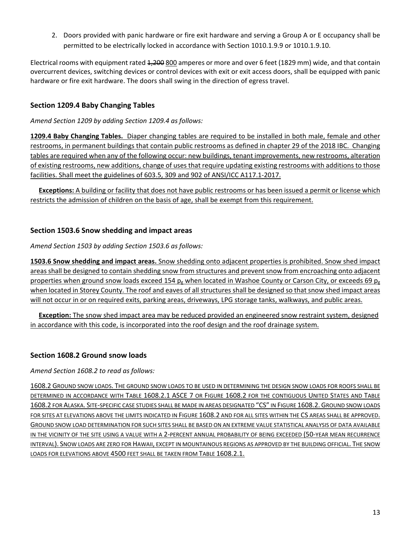2. Doors provided with panic hardware or fire exit hardware and serving a Group A or E occupancy shall be permitted to be electrically locked in accordance with Section 1010.1.9.9 or 1010.1.9.10.

Electrical rooms with equipment rated 1,200 800 amperes or more and over 6 feet (1829 mm) wide, and that contain overcurrent devices, switching devices or control devices with exit or exit access doors, shall be equipped with panic hardware or fire exit hardware. The doors shall swing in the direction of egress travel.

### **Section 1209.4 Baby Changing Tables**

### *Amend Section 1209 by adding Section 1209.4 as follows:*

**1209.4 Baby Changing Tables.** Diaper changing tables are required to be installed in both male, female and other restrooms, in permanent buildings that contain public restrooms as defined in chapter 29 of the 2018 IBC. Changing tables are required when any of the following occur: new buildings, tenant improvements, new restrooms, alteration of existing restrooms, new additions, change of uses that require updating existing restrooms with additionsto those facilities. Shall meet the guidelines of 603.5, 309 and 902 of ANSI/ICC A117.1‐2017.

**Exceptions:** A building or facility that does not have public restrooms or has been issued a permit or license which restricts the admission of children on the basis of age, shall be exempt from this requirement.

### **Section 1503.6 Snow shedding and impact areas**

### *Amend Section 1503 by adding Section 1503.6 as follows:*

**1503.6 Snow shedding and impact areas.** Snow shedding onto adjacent properties is prohibited. Snow shed impact areas shall be designed to contain shedding snow from structures and prevent snow from encroaching onto adjacent properties when ground snow loads exceed 154  $p_g$  when located in Washoe County or Carson City, or exceeds 69  $p_g$ when located in Storey County. The roof and eaves of all structures shall be designed so that snow shed impact areas will not occur in or on required exits, parking areas, driveways, LPG storage tanks, walkways, and public areas.

**Exception:** The snow shed impact area may be reduced provided an engineered snow restraint system, designed in accordance with this code, is incorporated into the roof design and the roof drainage system.

### **Section 1608.2 Ground snow loads**

### *Amend Section 1608.2 to read as follows:*

1608.2 GROUND SNOW LOADS. THE GROUND SNOW LOADS TO BE USED IN DETERMINING THE DESIGN SNOW LOADS FOR ROOFS SHALL BE DETERMINED IN ACCORDANCE WITH TABLE 1608.2.1 ASCE 7 OR FIGURE 1608.2 FOR THE CONTIGUOUS UNITED STATES AND TABLE 1608.2 FOR ALASKA. SITE‐SPECIFIC CASE STUDIES SHALL BE MADE IN AREAS DESIGNATED "CS" IN FIGURE 1608.2. GROUND SNOW LOADS FOR SITES AT ELEVATIONS ABOVE THE LIMITS INDICATED IN FIGURE 1608.2 AND FOR ALL SITES WITHIN THE CS AREAS SHALL BE APPROVED. GROUND SNOW LOAD DETERMINATION FOR SUCH SITES SHALL BE BASED ON AN EXTREME VALUE STATISTICAL ANALYSIS OF DATA AVAILABLE IN THE VICINITY OF THE SITE USING A VALUE WITH A 2-PERCENT ANNUAL PROBABILITY OF BEING EXCEEDED (50-YEAR MEAN RECURRENCE INTERVAL). SNOW LOADS ARE ZERO FOR HAWAII, EXCEPT IN MOUNTAINOUS REGIONS AS APPROVED BY THE BUILDING OFFICIAL. THE SNOW LOADS FOR ELEVATIONS ABOVE 4500 FEET SHALL BE TAKEN FROM TABLE 1608.2.1.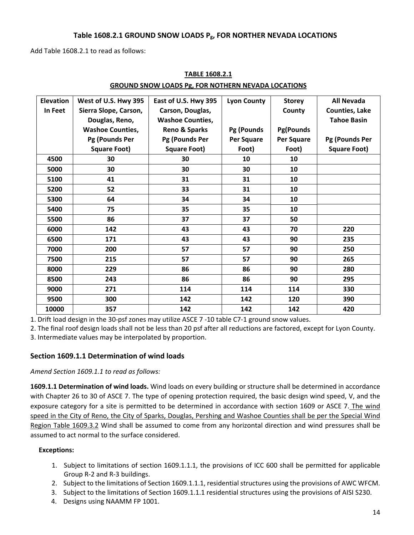#### **Table 1608.2.1 GROUND SNOW LOADS Pg, FOR NORTHER NEVADA LOCATIONS**

Add Table 1608.2.1 to read as follows:

| <b>Elevation</b> | West of U.S. Hwy 395    | East of U.S. Hwy 395    | <b>Lyon County</b> | <b>Storey</b>    | <b>All Nevada</b>     |
|------------------|-------------------------|-------------------------|--------------------|------------------|-----------------------|
| In Feet          | Sierra Slope, Carson,   | Carson, Douglas,        |                    | County           | <b>Counties, Lake</b> |
|                  | Douglas, Reno,          | <b>Washoe Counties,</b> |                    |                  | <b>Tahoe Basin</b>    |
|                  | <b>Washoe Counties,</b> | Reno & Sparks           | Pg (Pounds         | <b>Pg(Pounds</b> |                       |
|                  | Pg (Pounds Per          | Pg (Pounds Per          | Per Square         | Per Square       | Pg (Pounds Per        |
|                  | <b>Square Foot)</b>     | <b>Square Foot)</b>     | Foot)              | Foot)            | <b>Square Foot)</b>   |
| 4500             | 30                      | 30                      | 10                 | 10               |                       |
| 5000             | 30                      | 30                      | 30                 | 10               |                       |
| 5100             | 41                      | 31                      | 31                 | 10               |                       |
| 5200             | 52                      | 33                      | 31                 | 10               |                       |
| 5300             | 64                      | 34                      | 34                 | 10               |                       |
| 5400             | 75                      | 35                      | 35                 | 10               |                       |
| 5500             | 86                      | 37                      | 37                 | 50               |                       |
| 6000             | 142                     | 43                      | 43                 | 70               | 220                   |
| 6500             | 171                     | 43                      | 43                 | 90               | 235                   |
| 7000             | 200                     | 57                      | 57                 | 90               | 250                   |
| 7500             | 215                     | 57                      | 57                 | 90               | 265                   |
| 8000             | 229                     | 86                      | 86                 | 90               | 280                   |
| 8500             | 243                     | 86                      | 86                 | 90               | 295                   |
| 9000             | 271                     | 114                     | 114                | 114              | 330                   |
| 9500             | 300                     | 142                     | 142                | 120              | 390                   |
| 10000            | 357                     | 142                     | 142                | 142              | 420                   |

### **TABLE 1608.2.1 GROUND SNOW LOADS Pg, FOR NOTHERN NEVADA LOCATIONS**

1. Drift load design in the 30‐psf zones may utilize ASCE 7 ‐10 table C7‐1 ground snow values.

2. The final roof design loads shall not be less than 20 psf after all reductions are factored, except for Lyon County.

3. Intermediate values may be interpolated by proportion.

### **Section 1609.1.1 Determination of wind loads**

*Amend Section 1609.1.1 to read as follows:*

**1609.1.1 Determination of wind loads.** Wind loads on every building or structure shall be determined in accordance with Chapter 26 to 30 of ASCE 7. The type of opening protection required, the basic design wind speed, V, and the exposure category for a site is permitted to be determined in accordance with section 1609 or ASCE 7. The wind speed in the City of Reno, the City of Sparks, Douglas, Pershing and Washoe Counties shall be per the Special Wind Region Table 1609.3.2 Wind shall be assumed to come from any horizontal direction and wind pressures shall be assumed to act normal to the surface considered.

### **Exceptions:**

- 1. Subject to limitations of section 1609.1.1.1, the provisions of ICC 600 shall be permitted for applicable Group R‐2 and R‐3 buildings.
- 2. Subject to the limitations of Section 1609.1.1.1, residential structures using the provisions of AWC WFCM.
- 3. Subject to the limitations of Section 1609.1.1.1 residential structures using the provisions of AISI S230.
- 4. Designs using NAAMM FP 1001.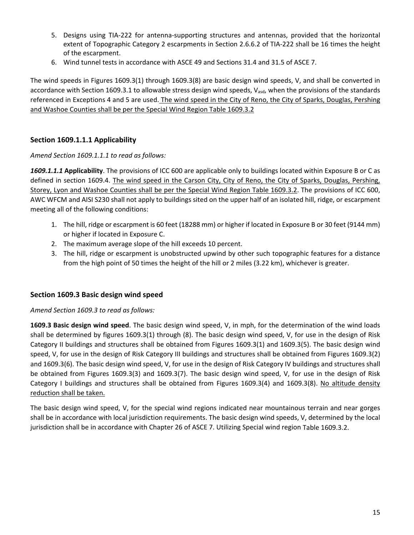- 5. Designs using TIA‐222 for antenna‐supporting structures and antennas, provided that the horizontal extent of Topographic Category 2 escarpments in Section 2.6.6.2 of TIA‐222 shall be 16 times the height of the escarpment.
- 6. Wind tunnel tests in accordance with ASCE 49 and Sections 31.4 and 31.5 of ASCE 7.

The wind speeds in Figures 1609.3(1) through 1609.3(8) are basic design wind speeds, V, and shall be converted in accordance with Section 1609.3.1 to allowable stress design wind speeds,  $V_{\text{asd}}$ , when the provisions of the standards referenced in Exceptions 4 and 5 are used. The wind speed in the City of Reno, the City of Sparks, Douglas, Pershing and Washoe Counties shall be per the Special Wind Region Table 1609.3.2

### **Section 1609.1.1.1 Applicability**

*Amend Section 1609.1.1.1 to read as follows:*

*1609.1.1.1* **Applicability**. The provisions of ICC 600 are applicable only to buildings located within Exposure B or C as defined in section 1609.4. The wind speed in the Carson City, City of Reno, the City of Sparks, Douglas, Pershing, Storey, Lyon and Washoe Counties shall be per the Special Wind Region Table 1609.3.2. The provisions of ICC 600, AWC WFCM and AISI S230 shall not apply to buildings sited on the upper half of an isolated hill, ridge, or escarpment meeting all of the following conditions:

- 1. The hill, ridge or escarpment is 60 feet (18288 mm) or higher if located in Exposure B or 30 feet (9144 mm) or higher if located in Exposure C.
- 2. The maximum average slope of the hill exceeds 10 percent.
- 3. The hill, ridge or escarpment is unobstructed upwind by other such topographic features for a distance from the high point of 50 times the height of the hill or 2 miles (3.22 km), whichever is greater.

### **Section 1609.3 Basic design wind speed**

*Amend Section 1609.3 to read as follows:*

**1609.3 Basic design wind speed**. The basic design wind speed, V, in mph, for the determination of the wind loads shall be determined by figures 1609.3(1) through (8). The basic design wind speed, V, for use in the design of Risk Category II buildings and structures shall be obtained from Figures 1609.3(1) and 1609.3(5). The basic design wind speed, V, for use in the design of Risk Category III buildings and structures shall be obtained from Figures 1609.3(2) and 1609.3(6). The basic design wind speed, V, for use in the design of Risk Category IV buildings and structures shall be obtained from Figures 1609.3(3) and 1609.3(7). The basic design wind speed, V, for use in the design of Risk Category I buildings and structures shall be obtained from Figures 1609.3(4) and 1609.3(8). No altitude density reduction shall be taken.

The basic design wind speed, V, for the special wind regions indicated near mountainous terrain and near gorges shall be in accordance with local jurisdiction requirements. The basic design wind speeds, V, determined by the local jurisdiction shall be in accordance with Chapter 26 of ASCE 7. Utilizing Special wind region Table 1609.3.2.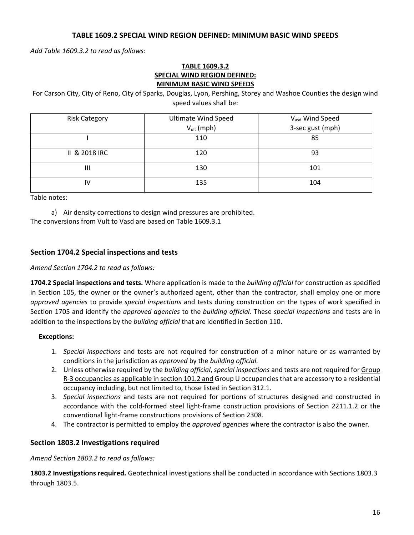#### **TABLE 1609.2 SPECIAL WIND REGION DEFINED: MINIMUM BASIC WIND SPEEDS**

*Add Table 1609.3.2 to read as follows:*

#### **TABLE 1609.3.2 SPECIAL WIND REGION DEFINED: MINIMUM BASIC WIND SPEEDS**

For Carson City, City of Reno, City of Sparks, Douglas, Lyon, Pershing, Storey and Washoe Counties the design wind speed values shall be:

| <b>Risk Category</b> | <b>Ultimate Wind Speed</b> | V <sub>asd</sub> Wind Speed |  |
|----------------------|----------------------------|-----------------------------|--|
|                      | $V_{ult}$ (mph)            | 3-sec gust (mph)            |  |
|                      | 110                        | 85                          |  |
| II & 2018 IRC        | 120                        | 93                          |  |
| Ш                    | 130                        | 101                         |  |
| IV                   | 135                        | 104                         |  |

Table notes:

a) Air density corrections to design wind pressures are prohibited. The conversions from Vult to Vasd are based on Table 1609.3.1

### **Section 1704.2 Special inspections and tests**

#### *Amend Section 1704.2 to read as follows:*

**1704.2 Special inspections and tests.** Where application is made to the *building official* for construction as specified in Section 105, the owner or the owner's authorized agent, other than the contractor, shall employ one or more *approved agencies* to provide *special inspections* and tests during construction on the types of work specified in Section 1705 and identify the *approved agencies* to the *building official.* These *special inspections* and tests are in addition to the inspections by the *building official* that are identified in Section 110.

#### **Exceptions:**

- 1. *Special inspections* and tests are not required for construction of a minor nature or as warranted by conditions in the jurisdiction as *approved* by the *building official.*
- 2. Unless otherwise required by the *building official*, *special inspections* and tests are not required for Group R‐3 occupancies as applicable in section 101.2 and Group U occupancies that are accessory to a residential occupancy including, but not limited to, those listed in Section 312.1.
- 3. *Special inspections* and tests are not required for portions of structures designed and constructed in accordance with the cold‐formed steel light‐frame construction provisions of Section 2211.1.2 or the conventional light‐frame constructions provisions of Section 2308.
- 4. The contractor is permitted to employ the *approved agencies* where the contractor is also the owner.

#### **Section 1803.2 Investigations required**

*Amend Section 1803.2 to read as follows:*

**1803.2 Investigations required.** Geotechnical investigations shall be conducted in accordance with Sections 1803.3 through 1803.5.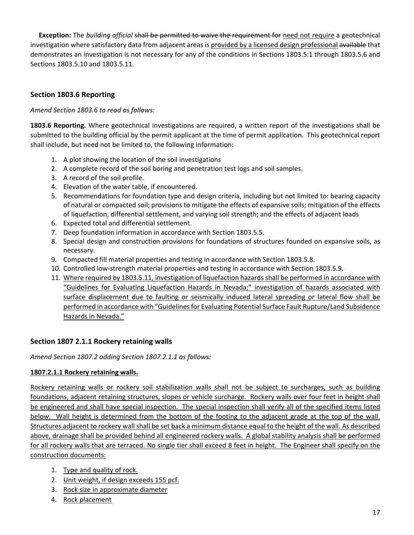**Exception:** The *building official* shall be permitted to waive the requirement for need not require a geotechnical investigation where satisfactory data from adjacent areas is provided by a licensed design professional available that demonstrates an investigation is not necessary for any of the conditions in Sections 1803.5.1 through 1803.5.6 and Sections 1803.5.10 and 1803.5.11.

### **Section 1803.6 Reporting**

*Amend Section 1803.6 to read as follows:*

**1803.6 Reporting.** Where geotechnical investigations are required, a written report of the investigations shall be submitted to the building official by the permit applicant at the time of permit application. This geotechnical report shall include, but need not be limited to, the following information:

- 1. A plot showing the location of the soil investigations
- 2. A complete record of the soil boring and penetration test logs and soil samples.
- 3. A record of the soil profile.
- 4. Elevation of the water table, if encountered.
- 5. Recommendations for foundation type and design criteria, including but not limited to: bearing capacity of natural or compacted soil; provisions to mitigate the effects of expansive soils; mitigation of the effects of liquefaction, differential settlement, and varying soil strength; and the effects of adjacent loads
- 6. Expected total and differential settlement.
- 7. Deep foundation information in accordance with Section 1803.5.5.
- 8. Special design and construction provisions for foundations of structures founded on expansive soils, as necessary.
- 9. Compacted fill material properties and testing in accordance with Section 1803.5.8.
- 10. Controlled low‐strength material properties and testing in accordance with Section 1803.5.9.
- 11. Where required by 1803.5.11, investigation of liquefaction hazards shall be performed in accordance with "Guidelines for Evaluating Liquefaction Hazards in Nevada;" investigation of hazards associated with surface displacement due to faulting or seismically induced lateral spreading or lateral flow shall be performed in accordance with "Guidelines for Evaluating Potential Surface Fault Rupture/Land Subsidence Hazards in Nevada."

### **Section 1807 2.1.1 Rockery retaining walls**

*Amend Section 1807.2 adding Section 1807.2.1.1 as follows:*

### **1807.2.1.1 Rockery retaining walls.**

Rockery retaining walls or rockery soil stabilization walls shall not be subject to surcharges, such as building foundations, adjacent retaining structures, slopes or vehicle surcharge. Rockery walls over four feet in height shall be engineered and shall have special inspection. The special inspection shall verify all of the specified items listed below. Wall height is determined from the bottom of the footing to the adjacent grade at the top of the wall. Structures adjacent to rockery wall shall be set back a minimum distance equal to the height of the wall. As described above, drainage shall be provided behind all engineered rockery walls. A global stability analysis shall be performed for all rockery walls that are terraced. No single tier shall exceed 8 feet in height. The Engineer shall specify on the construction documents:

- 1. Type and quality of rock.
- 2. Unit weight, if design exceeds 155 pcf.
- 3. Rock size in approximate diameter
- 4. Rock placement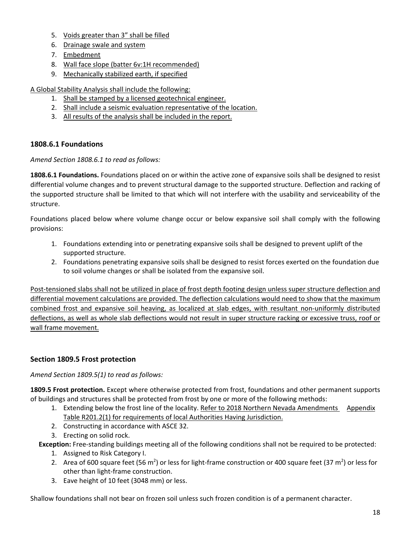- 5. Voids greater than 3" shall be filled
- 6. Drainage swale and system
- 7. Embedment
- 8. Wall face slope (batter 6v:1H recommended)
- 9. Mechanically stabilized earth, if specified

A Global Stability Analysis shall include the following:

- 1. Shall be stamped by a licensed geotechnical engineer.
- 2. Shall include a seismic evaluation representative of the location.
- 3. All results of the analysis shall be included in the report.

### **1808.6.1 Foundations**

*Amend Section 1808.6.1 to read as follows:*

**1808.6.1 Foundations.** Foundations placed on or within the active zone of expansive soils shall be designed to resist differential volume changes and to prevent structural damage to the supported structure. Deflection and racking of the supported structure shall be limited to that which will not interfere with the usability and serviceability of the structure.

Foundations placed below where volume change occur or below expansive soil shall comply with the following provisions:

- 1. Foundations extending into or penetrating expansive soils shall be designed to prevent uplift of the supported structure.
- 2. Foundations penetrating expansive soils shall be designed to resist forces exerted on the foundation due to soil volume changes or shall be isolated from the expansive soil.

Post-tensioned slabs shall not be utilized in place of frost depth footing design unless super structure deflection and differential movement calculations are provided. The deflection calculations would need to show that the maximum combined frost and expansive soil heaving, as localized at slab edges, with resultant non-uniformly distributed deflections, as well as whole slab deflections would not result in super structure racking or excessive truss, roof or wall frame movement.

### **Section 1809.5 Frost protection**

*Amend Section 1809.5(1) to read as follows:*

**1809.5 Frost protection.** Except where otherwise protected from frost, foundations and other permanent supports of buildings and structures shall be protected from frost by one or more of the following methods:

- 1. Extending below the frost line of the locality. Refer to 2018 Northern Nevada Amendments Appendix Table R201.2(1) for requirements of local Authorities Having Jurisdiction.
- 2. Constructing in accordance with ASCE 32.
- 3. Erecting on solid rock.
- **Exception:** Free‐standing buildings meeting all of the following conditions shall not be required to be protected:
	- 1. Assigned to Risk Category I.
	- 2. Area of 600 square feet (56 m<sup>2</sup>) or less for light-frame construction or 400 square feet (37 m<sup>2</sup>) or less for other than light‐frame construction.
	- 3. Eave height of 10 feet (3048 mm) or less.

Shallow foundations shall not bear on frozen soil unless such frozen condition is of a permanent character.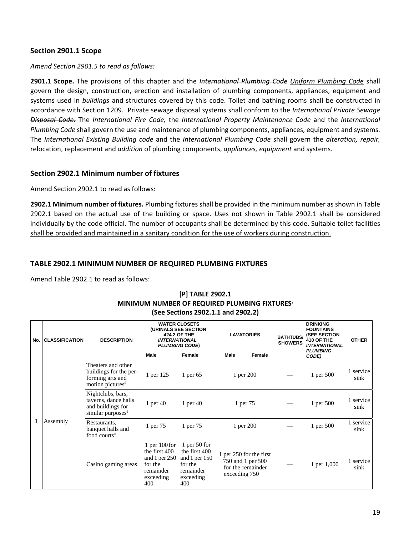#### **Section 2901.1 Scope**

*Amend Section 2901.5 to read as follows:*

**2901.1 Scope.** The provisions of this chapter and the *International Plumbing Code Uniform Plumbing Code* shall govern the design, construction, erection and installation of plumbing components, appliances, equipment and systems used in *buildings* and structures covered by this code. Toilet and bathing rooms shall be constructed in accordance with Section 1209. Private sewage disposal systems shall conform to the *International Private Sewage Disposal Code*. The *International Fire Code,* the *International Property Maintenance Code* and the *International Plumbing Code* shall govern the use and maintenance of plumbing components, appliances, equipment and systems. The *International Existing Building code* and the *International Plumbing Code* shall govern the *alteration, repair,* relocation, replacement and *addition* of plumbing components, *appliances, equipment* and systems.

#### **Section 2902.1 Minimum number of fixtures**

Amend Section 2902.1 to read as follows:

**2902.1 Minimum number of fixtures.** Plumbing fixtures shall be provided in the minimum number as shown in Table 2902.1 based on the actual use of the building or space. Uses not shown in Table 2902.1 shall be considered individually by the code official. The number of occupants shall be determined by this code. Suitable toilet facilities shall be provided and maintained in a sanitary condition for the use of workers during construction.

#### **TABLE 2902.1 MINIMUM NUMBER OF REQUIRED PLUMBING FIXTURES**

Amend Table 2902.1 to read as follows:

| No. | <b>CLASSIFICATION</b> | <b>DESCRIPTION</b>                                                                               | (URINALS SEE SECTION<br><b>INTERNATIONAL</b>                                                      | <b>WATER CLOSETS</b><br><b>424.2 OF THE</b><br><b>PLUMBING CODE)</b>                         |               | <b>LAVATORIES</b>                                                 | <b>BATHTUBS/</b><br><b>SHOWERS</b> | <b>DRINKING</b><br><b>FOUNTAINS</b><br><b>(SEE SECTION</b><br><b>410 OF THE</b><br><b>INTERNATIONAL</b> | <b>OTHER</b>      |
|-----|-----------------------|--------------------------------------------------------------------------------------------------|---------------------------------------------------------------------------------------------------|----------------------------------------------------------------------------------------------|---------------|-------------------------------------------------------------------|------------------------------------|---------------------------------------------------------------------------------------------------------|-------------------|
|     |                       |                                                                                                  | Male                                                                                              | Female                                                                                       | <b>Male</b>   | Female                                                            |                                    | <b>PLUMBING</b><br>CODE)                                                                                |                   |
|     |                       | Theaters and other<br>buildings for the per-<br>forming arts and<br>motion pictures <sup>d</sup> | 1 per 125                                                                                         | 1 per $65$                                                                                   | 1 per 200     |                                                                   |                                    | 1 per 500                                                                                               | 1 service<br>sink |
|     |                       | Nightclubs, bars,<br>taverns, dance halls<br>and buildings for<br>similar purposes <sup>d</sup>  | 1 per $40$                                                                                        | 1 per $40$                                                                                   | 1 per 75      |                                                                   |                                    | 1 per 500                                                                                               | 1 service<br>sink |
|     | Assembly              | Restaurants,<br>banquet halls and<br>food courts <sup>d</sup>                                    | 1 per 75                                                                                          | 1 per 75                                                                                     | 1 per 200     |                                                                   |                                    | 1 per 500                                                                                               | 1 service<br>sink |
|     |                       | Casino gaming areas                                                                              | $1$ per $100$ for<br>the first 400<br>and 1 per $250$<br>for the<br>remainder<br>exceeding<br>400 | 1 per $50$ for<br>the first 400<br>and 1 per 150<br>for the<br>remainder<br>exceeding<br>400 | exceeding 750 | 1 per 250 for the first<br>750 and 1 per 500<br>for the remainder |                                    | 1 per 1,000                                                                                             | 1 service<br>sink |

#### **[P] TABLE 2902.1 MINIMUM NUMBER OF REQUIRED PLUMBING FIXTURESa (See Sections 2902.1.1 and 2902.2)**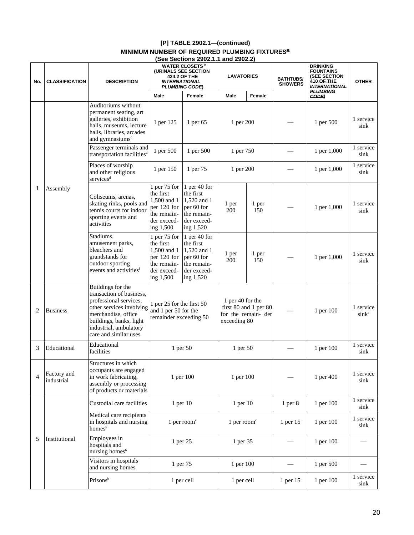| $[P]$ TABLE 2902.1—(continued)                            |
|-----------------------------------------------------------|
| MINIMUM NUMBER OF REQUIRED PLUMBING FIXTURES <sup>a</sup> |
| $(0, 0, 1)$ $(0, 0, 0, 1)$                                |

|                |                                               |                                                                                                                                                                                                          |                                                                                                      | (See Sections 2902.1.1 and 2902.2)                                                                 |                                            |                                              |                                    |                                                                                                                     |                                |
|----------------|-----------------------------------------------|----------------------------------------------------------------------------------------------------------------------------------------------------------------------------------------------------------|------------------------------------------------------------------------------------------------------|----------------------------------------------------------------------------------------------------|--------------------------------------------|----------------------------------------------|------------------------------------|---------------------------------------------------------------------------------------------------------------------|--------------------------------|
| No.            | <b>CLASSIFICATION</b>                         | <b>DESCRIPTION</b>                                                                                                                                                                                       | <b>INTERNATIONAL</b>                                                                                 | <b>WATER CLOSETS</b> <sup>h</sup><br>(URINALS SEE SECTION<br>424.2 OF THE<br><b>PLUMBING CODE)</b> | <b>LAVATORIES</b>                          |                                              | <b>BATHTUBS/</b><br><b>SHOWERS</b> | <b>DRINKING</b><br><b>FOUNTAINS</b><br><b>(SEE SECTION</b><br>410 OF THE<br><b>INTERNATIONAL</b><br><b>PLUMBING</b> | <b>OTHER</b>                   |
|                |                                               |                                                                                                                                                                                                          | Male                                                                                                 | Female                                                                                             | Male                                       | <b>Female</b>                                |                                    | CODE)                                                                                                               |                                |
|                |                                               | Auditoriums without<br>permanent seating, art<br>galleries, exhibition<br>halls, museums, lecture<br>halls, libraries, arcades<br>and gymnasiums <sup>d</sup>                                            | 1 per 125                                                                                            | 1 per 65                                                                                           | 1 per 200                                  |                                              |                                    | 1 per 500                                                                                                           | 1 service<br>sink              |
|                |                                               | Passenger terminals and<br>transportation facilities <sup>d</sup>                                                                                                                                        | 1 per 500                                                                                            | 1 per 500                                                                                          | 1 per 750                                  |                                              |                                    | 1 per 1,000                                                                                                         | 1 service<br>sink              |
|                |                                               | Places of worship<br>and other religious<br>services <sup>d</sup>                                                                                                                                        | 1 per 150                                                                                            | 1 per 75                                                                                           | 1 per 200                                  |                                              |                                    | 1 per 1,000                                                                                                         | 1 service<br>sink              |
| $\mathbf{1}$   | Assembly<br><b>Business</b><br>$\overline{2}$ | Coliseums, arenas,<br>skating rinks, pools and<br>tennis courts for indoor<br>sporting events and<br>activities                                                                                          | 1 per $75$ for<br>the first<br>1,500 and 1<br>per 120 for<br>the remain-<br>der exceed-<br>ing 1,500 | 1 per 40 for<br>the first<br>1,520 and 1<br>per 60 for<br>the remain-<br>der exceed-<br>ing 1,520  | 1 per<br>1 per<br>200<br>150               |                                              |                                    | 1 per 1,000                                                                                                         | 1 service<br>sink              |
|                |                                               | Stadiums,<br>amusement parks,<br>bleachers and<br>grandstands for<br>outdoor sporting<br>events and activities <sup>f</sup>                                                                              | 1 per $75$ for<br>the first<br>1,500 and 1<br>per 120 for<br>the remain-<br>der exceed-<br>ing 1,500 | 1 per 40 for<br>the first<br>1,520 and 1<br>per 60 for<br>the remain-<br>der exceed-<br>ing 1,520  | 1 per<br>200                               | 1 per<br>150                                 |                                    | 1 per 1,000                                                                                                         | 1 service<br>sink              |
|                |                                               | Buildings for the<br>transaction of business,<br>professional services,<br>other services involving<br>merchandise, office<br>buildings, banks, light<br>industrial, ambulatory<br>care and similar uses | 1 per 25 for the first 50<br>and 1 per 50 for the<br>remainder exceeding 50                          |                                                                                                    | 1 per 40 for the<br>exceeding 80           | first 80 and 1 per 80<br>for the remain- der |                                    | 1 per 100                                                                                                           | 1 service<br>sink <sup>e</sup> |
| 3              | Educational                                   | Educational<br>facilities                                                                                                                                                                                |                                                                                                      | 1 per 50                                                                                           | 1 per 50                                   |                                              |                                    | 1 per 100                                                                                                           | 1 service<br>sink              |
| $\overline{4}$ | Factory and<br>industrial                     | Structures in which<br>occupants are engaged<br>in work fabricating,<br>assembly or processing<br>of products or materials                                                                               |                                                                                                      | 1 per 100                                                                                          | 1 per 100                                  |                                              |                                    | 1 per 400                                                                                                           | 1 service<br>sink              |
|                |                                               | Custodial care facilities                                                                                                                                                                                |                                                                                                      | 1 per 10                                                                                           | 1 per 10                                   |                                              | 1 <sub>per</sub> 8                 | 1 per 100                                                                                                           | 1 service<br>sink              |
|                |                                               | Medical care recipients<br>in hospitals and nursing<br>homes <sup>b</sup>                                                                                                                                |                                                                                                      | 1 per room $\epsilon$                                                                              | $1$ per room <sup><math>\circ</math></sup> |                                              | 1 per 15                           | 1 per 100                                                                                                           | 1 service<br>sink              |
| 5              | Institutional                                 | Employees in<br>hospitals and<br>nursing homes <sup>b</sup>                                                                                                                                              | 1 per 25                                                                                             |                                                                                                    | 1 per 35                                   |                                              |                                    | 1 per 100                                                                                                           |                                |
|                |                                               | Visitors in hospitals<br>and nursing homes                                                                                                                                                               |                                                                                                      | 1 per 75                                                                                           | 1 per 100                                  |                                              |                                    | 1 per 500                                                                                                           |                                |
|                |                                               | Prisonsb                                                                                                                                                                                                 |                                                                                                      | 1 per cell                                                                                         | 1 per cell                                 |                                              | 1 per 15                           | 1 per 100                                                                                                           | 1 service<br>sink              |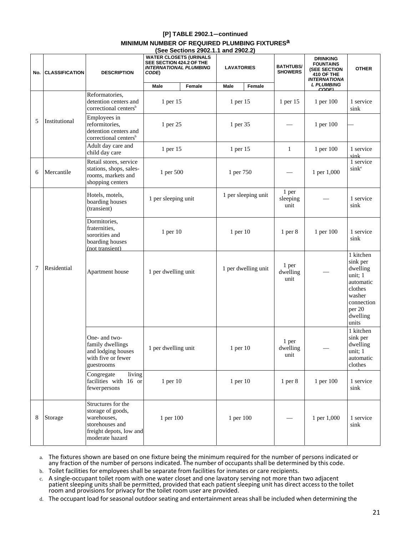### **[P] TABLE 2902.1—continued**

#### **MINIMUM NUMBER OF REQUIRED PLUMBING FIXTURESa**

|     |                       |                                                                                                                         | (See Sections 2902.1.1 and 2902.2)<br><b>WATER CLOSETS (URINALS</b><br>SEE SECTION 424.2 OF THE |        |                   |                     |                                    |                                                                                                 |                                                                                                                             |
|-----|-----------------------|-------------------------------------------------------------------------------------------------------------------------|-------------------------------------------------------------------------------------------------|--------|-------------------|---------------------|------------------------------------|-------------------------------------------------------------------------------------------------|-----------------------------------------------------------------------------------------------------------------------------|
| No. | <b>CLASSIFICATION</b> | <b>DESCRIPTION</b>                                                                                                      | <b>INTERNATIONAL PLUMBING</b><br>CODE)                                                          |        | <b>LAVATORIES</b> |                     | <b>BATHTUBS/</b><br><b>SHOWERS</b> | <b>DRINKING</b><br><b>FOUNTAINS</b><br>(SEE SECTION<br><b>410 OF THE</b><br><b>INTERNATIONA</b> | <b>OTHER</b>                                                                                                                |
|     |                       |                                                                                                                         | Male                                                                                            | Female | Male              | Female              |                                    | <b>L PLUMBING</b><br><b>CODEL</b>                                                               |                                                                                                                             |
|     |                       | Reformatories,<br>detention centers and<br>correctional centers <sup>b</sup>                                            | 1 per 15                                                                                        |        | 1 per 15          |                     | 1 per 15                           | 1 per 100                                                                                       | 1 service<br>sink                                                                                                           |
| 5   | Institutional         | Employees in<br>reformitories,<br>detention centers and<br>correctional centers <sup>b</sup>                            | 1 per 25                                                                                        |        | 1 per 35          |                     |                                    | 1 per 100                                                                                       |                                                                                                                             |
|     |                       | Adult day care and<br>child day care                                                                                    | 1 per 15                                                                                        |        | 1 per 15          |                     | $\mathbf{1}$                       | 1 per 100                                                                                       | 1 service<br>sink                                                                                                           |
| 6   | Mercantile            | Retail stores, service<br>stations, shops, sales-<br>rooms, markets and<br>shopping centers                             | 1 per 500                                                                                       |        | 1 per 750         |                     |                                    | 1 per 1,000                                                                                     | 1 service<br>sink <sup>e</sup>                                                                                              |
|     |                       | Hotels, motels,<br>boarding houses<br>(transient)                                                                       | 1 per sleeping unit                                                                             |        |                   | 1 per sleeping unit | 1 per<br>sleeping<br>unit          |                                                                                                 | 1 service<br>sink                                                                                                           |
|     |                       | Dormitories,<br>fraternities,<br>sororities and<br>boarding houses<br>(not transient)                                   | 1 per 10                                                                                        |        | 1 per 10          |                     | 1 <sub>per</sub> 8                 | 1 per 100                                                                                       | 1 service<br>sink                                                                                                           |
| 7   | Residential           | Apartment house                                                                                                         | 1 per dwelling unit                                                                             |        |                   | 1 per dwelling unit | 1 per<br>dwelling<br>unit          |                                                                                                 | 1 kitchen<br>sink per<br>dwelling<br>unit; 1<br>automatic<br>clothes<br>washer<br>connection<br>per 20<br>dwelling<br>units |
|     |                       | One- and two-<br>family dwellings<br>and lodging houses<br>with five or fewer<br>guestrooms                             | 1 per dwelling unit                                                                             |        | $1$ per $10$      |                     | 1 per<br>dwelling<br>unit          |                                                                                                 | 1 kitchen<br>sink per<br>dwelling<br>unit; 1<br>automatic<br>clothes                                                        |
|     |                       | living<br>Congregate<br>facilities with 16 or<br>fewerpersons                                                           | 1 per 10                                                                                        |        | $1$ per $10$      |                     | $1$ per $8$                        | 1 per 100                                                                                       | 1 service<br>sink                                                                                                           |
| 8   | Storage               | Structures for the<br>storage of goods,<br>warehouses,<br>storehouses and<br>freight depots, low and<br>moderate hazard | 1 per 100                                                                                       |        | 1 per 100         |                     |                                    | 1 per 1,000                                                                                     | 1 service<br>sink                                                                                                           |

a. The fixtures shown are based on one fixture being the minimum required for the number of persons indicated or any fraction of the number of persons indicated. The number of occupants shall be determined by this code.

- b. Toilet facilities for employees shall be separate from facilities for inmates or care recipients.
- c. A single‐occupant toilet room with one water closet and one lavatory serving not more than two adjacent patient sleeping units shall be permitted, provided that each patient sleeping unit has direct access to the toilet room and provisions for privacy for the toilet room user are provided.
- d. The occupant load for seasonal outdoor seating and entertainment areasshall be included when determining the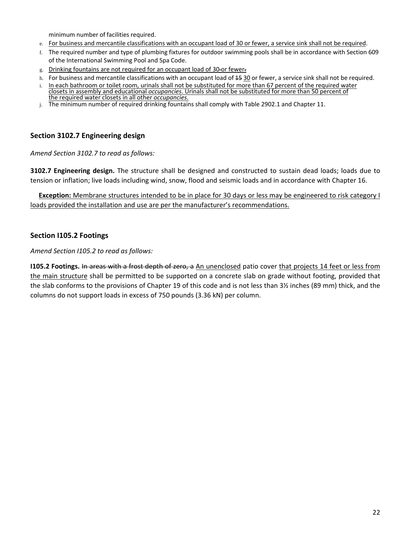minimum number of facilities required.

- e. For business and mercantile classifications with an occupant load of 30 or fewer, a service sink shall not be required.
- f. The required number and type of plumbing fixtures for outdoor swimming pools shall be in accordance with Section 609 of the International Swimming Pool and Spa Code.
- g. Drinking fountains are not required for an occupant load of 30 or fewer.
- h. For business and mercantile classifications with an occupant load of 45 30 or fewer, a service sink shall not be required.
- i. In each bathroom or toilet room, urinals shall not be substituted for more than 67 percent of the required water closets in assembly and educational *occupancies*. Urinals shall not be substituted for more than 50 percent of the required water closets in all other *occupancies*.
- j. The minimum number of required drinking fountains shall comply with Table 2902.1 and Chapter 11.

### **Section 3102.7 Engineering design**

*Amend Section 3102.7 to read as follows:*

**3102.7 Engineering design.** The structure shall be designed and constructed to sustain dead loads; loads due to tension or inflation; live loads including wind, snow, flood and seismic loads and in accordance with Chapter 16.

**Exception:** Membrane structures intended to be in place for 30 days or less may be engineered to risk category I loads provided the installation and use are per the manufacturer's recommendations.

### **Section I105.2 Footings**

*Amend Section I105.2 to read as follows:*

**I105.2 Footings.** In areas with a frost depth of zero, a An unenclosed patio cover that projects 14 feet or less from the main structure shall be permitted to be supported on a concrete slab on grade without footing, provided that the slab conforms to the provisions of Chapter 19 of this code and is not less than 3½ inches (89 mm) thick, and the columns do not support loads in excess of 750 pounds (3.36 kN) per column.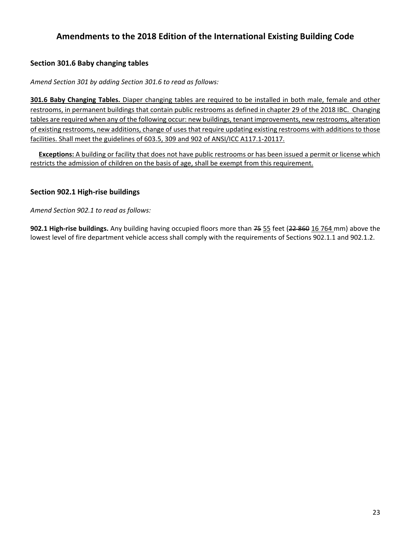# **Amendments to the 2018 Edition of the International Existing Building Code**

### **Section 301.6 Baby changing tables**

*Amend Section 301 by adding Section 301.6 to read as follows:*

**301.6 Baby Changing Tables.** Diaper changing tables are required to be installed in both male, female and other restrooms, in permanent buildings that contain public restrooms as defined in chapter 29 of the 2018 IBC. Changing tables are required when any of the following occur: new buildings, tenant improvements, new restrooms, alteration of existing restrooms, new additions, change of uses that require updating existing restrooms with additions to those facilities. Shall meet the guidelines of 603.5, 309 and 902 of ANSI/ICC A117.1‐20117.

 **Exceptions:** A building or facility that does not have public restrooms or has been issued a permit or license which restricts the admission of children on the basis of age, shall be exempt from this requirement.

### **Section 902.1 High‐rise buildings**

*Amend Section 902.1 to read as follows:*

**902.1 High‐rise buildings.** Any building having occupied floors more than 75 55 feet (22 860 16 764 mm) above the lowest level of fire department vehicle access shall comply with the requirements of Sections 902.1.1 and 902.1.2.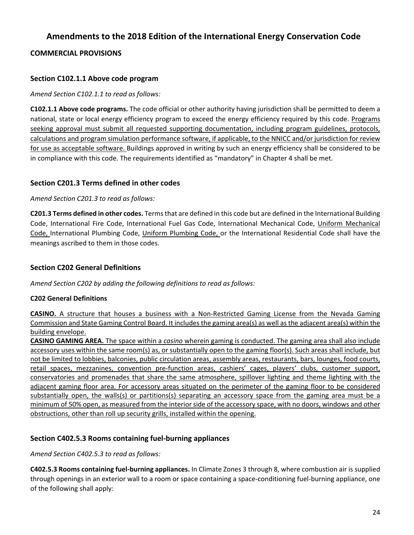# **Amendments to the 2018 Edition of the International Energy Conservation Code**

### **COMMERCIAL PROVISIONS**

### **Section C102.1.1 Above code program**

#### *Amend Section C102.1.1 to read as follows:*

**C102.1.1 Above code programs.** The code official or other authority having jurisdiction shall be permitted to deem a national, state or local energy efficiency program to exceed the energy efficiency required by this code. Programs seeking approval must submit all requested supporting documentation, including program guidelines, protocols, calculations and program simulation performance software, if applicable, to the NNICC and/or jurisdiction for review for use as acceptable software. Buildings approved in writing by such an energy efficiency shall be considered to be in compliance with this code. The requirements identified as "mandatory" in Chapter 4 shall be met.

### **Section C201.3 Terms defined in other codes**

#### *Amend Section C201.3 to read as follows:*

**C201.3 Terms defined in other codes.** Termsthat are defined in this code but are defined in the International Building Code, International Fire Code, International Fuel Gas Code, International Mechanical Code, Uniform Mechanical Code, International Plumbing Code, Uniform Plumbing Code, or the International Residential Code shall have the meanings ascribed to them in those codes.

### **Section C202 General Definitions**

*Amend Section C202 by adding the following definitions to read as follows:*

#### **C202 General Definitions**

**CASINO.** A structure that houses a business with a Non‐Restricted Gaming License from the Nevada Gaming Commission and State Gaming Control Board. It includes the gaming area(s) as well as the adjacent area(s) within the building envelope.

**CASINO GAMING AREA.** The space within a *casino* wherein gaming is conducted. The gaming area shall also include accessory uses within the same room(s) as, or substantially open to the gaming floor(s). Such areas shall include, but not be limited to lobbies, balconies, public circulation areas, assembly areas, restaurants, bars, lounges, food courts, retail spaces, mezzanines, convention pre‐function areas, cashiers' cages, players' clubs, customer support, conservatories and promenades that share the same atmosphere, spillover lighting and theme lighting with the adjacent gaming floor area. For accessory areas situated on the perimeter of the gaming floor to be considered substantially open, the walls(s) or partitions(s) separating an accessory space from the gaming area must be a minimum of 50% open, as measured from the interior side of the accessory space, with no doors, windows and other obstructions, other than roll up security grills, installed within the opening.

### **Section C402.5.3 Rooms containing fuel‐burning appliances**

*Amend Section C402.5.3 to read as follows:*

**C402.5.3 Rooms containing fuel‐burning appliances.** In Climate Zones 3 through 8, where combustion air is supplied through openings in an exterior wall to a room or space containing a space-conditioning fuel-burning appliance, one of the following shall apply: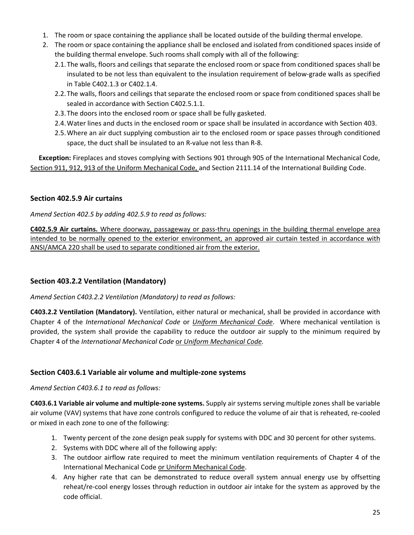- 1. The room or space containing the appliance shall be located outside of the building thermal envelope.
- 2. The room or space containing the appliance shall be enclosed and isolated from conditioned spaces inside of the building thermal envelope. Such rooms shall comply with all of the following:
	- 2.1.The walls, floors and ceilings that separate the enclosed room or space from conditioned spaces shall be insulated to be not less than equivalent to the insulation requirement of below‐grade walls as specified in Table C402.1.3 or C402.1.4.
	- 2.2.The walls, floors and ceilings that separate the enclosed room or space from conditioned spaces shall be sealed in accordance with Section C402.5.1.1.
	- 2.3.The doors into the enclosed room or space shall be fully gasketed.
	- 2.4.Water lines and ducts in the enclosed room or space shall be insulated in accordance with Section 403.
	- 2.5.Where an air duct supplying combustion air to the enclosed room or space passes through conditioned space, the duct shall be insulated to an R‐value not less than R‐8.

**Exception:** Fireplaces and stoves complying with Sections 901 through 905 of the International Mechanical Code, Section 911, 912, 913 of the Uniform Mechanical Code, and Section 2111.14 of the International Building Code.

### **Section 402.5.9 Air curtains**

### *Amend Section 402.5 by adding 402.5.9 to read as follows:*

**C402.5.9 Air curtains.** Where doorway, passageway or pass‐thru openings in the building thermal envelope area intended to be normally opened to the exterior environment, an approved air curtain tested in accordance with ANSI/AMCA 220 shall be used to separate conditioned air from the exterior.

### **Section 403.2.2 Ventilation (Mandatory)**

*Amend Section C403.2.2 Ventilation (Mandatory) to read as follows:*

**C403.2.2 Ventilation (Mandatory).** Ventilation, either natural or mechanical, shall be provided in accordance with Chapter 4 of the *International Mechanical Code* or *Uniform Mechanical Code*. Where mechanical ventilation is provided, the system shall provide the capability to reduce the outdoor air supply to the minimum required by Chapter 4 of the *International Mechanical Code* or *Uniform Mechanical Code.*

### **Section C403.6.1 Variable air volume and multiple‐zone systems**

### *Amend Section C403.6.1 to read as follows:*

**C403.6.1 Variable air volume and multiple‐zone systems.** Supply air systems serving multiple zones shall be variable air volume (VAV) systems that have zone controls configured to reduce the volume of air that is reheated, re‐cooled or mixed in each zone to one of the following:

- 1. Twenty percent of the zone design peak supply for systems with DDC and 30 percent for other systems.
- 2. Systems with DDC where all of the following apply:
- 3. The outdoor airflow rate required to meet the minimum ventilation requirements of Chapter 4 of the International Mechanical Code or Uniform Mechanical Code.
- 4. Any higher rate that can be demonstrated to reduce overall system annual energy use by offsetting reheat/re-cool energy losses through reduction in outdoor air intake for the system as approved by the code official.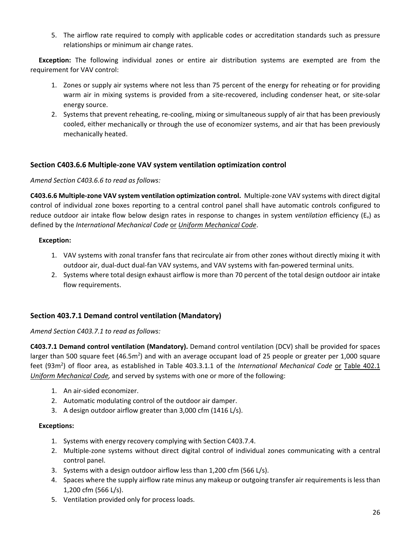5. The airflow rate required to comply with applicable codes or accreditation standards such as pressure relationships or minimum air change rates.

**Exception:** The following individual zones or entire air distribution systems are exempted are from the requirement for VAV control:

- 1. Zones or supply air systems where not less than 75 percent of the energy for reheating or for providing warm air in mixing systems is provided from a site‐recovered, including condenser heat, or site‐solar energy source.
- 2. Systems that prevent reheating, re‐cooling, mixing or simultaneous supply of air that has been previously cooled, either mechanically or through the use of economizer systems, and air that has been previously mechanically heated.

### **Section C403.6.6 Multiple‐zone VAV system ventilation optimization control**

### *Amend Section C403.6.6 to read as follows:*

**C403.6.6 Multiple‐zone VAV system ventilation optimization control.** Multiple‐zone VAV systems with direct digital control of individual zone boxes reporting to a central control panel shall have automatic controls configured to reduce outdoor air intake flow below design rates in response to changes in system *ventilation* efficiency (Ev) as defined by the *International Mechanical Code* or *Uniform Mechanical Code*.

#### **Exception:**

- 1. VAV systems with zonal transfer fans that recirculate air from other zones without directly mixing it with outdoor air, dual-duct dual-fan VAV systems, and VAV systems with fan-powered terminal units.
- 2. Systems where total design exhaust airflow is more than 70 percent of the total design outdoor air intake flow requirements.

### **Section 403.7.1 Demand control ventilation (Mandatory)**

#### *Amend Section C403.7.1 to read as follows:*

**C403.7.1 Demand control ventilation (Mandatory).** Demand control ventilation (DCV) shall be provided for spaces larger than 500 square feet (46.5m<sup>2</sup>) and with an average occupant load of 25 people or greater per 1,000 square feet (93m<sup>2</sup>) of floor area, as established in Table 403.3.1.1 of the *International Mechanical Code* or Table 402.1 *Uniform Mechanical Code,* and served by systems with one or more of the following:

- 1. An air‐sided economizer.
- 2. Automatic modulating control of the outdoor air damper.
- 3. A design outdoor airflow greater than 3,000 cfm (1416 L/s).

### **Exceptions:**

- 1. Systems with energy recovery complying with Section C403.7.4.
- 2. Multiple‐zone systems without direct digital control of individual zones communicating with a central control panel.
- 3. Systems with a design outdoor airflow less than 1,200 cfm (566 L/s).
- 4. Spaces where the supply airflow rate minus any makeup or outgoing transfer air requirements is less than 1,200 cfm (566 L/s).
- 5. Ventilation provided only for process loads.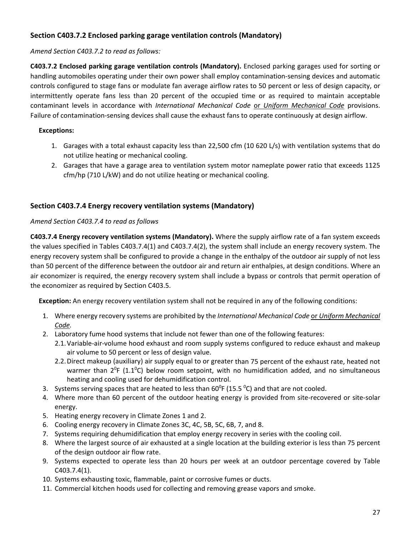### **Section C403.7.2 Enclosed parking garage ventilation controls (Mandatory)**

### *Amend Section C403.7.2 to read as follows:*

**C403.7.2 Enclosed parking garage ventilation controls (Mandatory).** Enclosed parking garages used for sorting or handling automobiles operating under their own power shall employ contamination‐sensing devices and automatic controls configured to stage fans or modulate fan average airflow rates to 50 percent or less of design capacity, or intermittently operate fans less than 20 percent of the occupied time or as required to maintain acceptable contaminant levels in accordance with *International Mechanical Code* or *Uniform Mechanical Code* provisions. Failure of contamination-sensing devices shall cause the exhaust fans to operate continuously at design airflow.

### **Exceptions:**

- 1. Garages with a total exhaust capacity less than 22,500 cfm (10 620 L/s) with ventilation systems that do not utilize heating or mechanical cooling.
- 2. Garages that have a garage area to ventilation system motor nameplate power ratio that exceeds 1125 cfm/hp (710 L/kW) and do not utilize heating or mechanical cooling.

### **Section C403.7.4 Energy recovery ventilation systems (Mandatory)**

### *Amend Section C403.7.4 to read as follows*

**C403.7.4 Energy recovery ventilation systems (Mandatory).** Where the supply airflow rate of a fan system exceeds the values specified in Tables C403.7.4(1) and C403.7.4(2), the system shall include an energy recovery system. The energy recovery system shall be configured to provide a change in the enthalpy of the outdoor air supply of not less than 50 percent of the difference between the outdoor air and return air enthalpies, at design conditions. Where an air economizer is required, the energy recovery system shall include a bypass or controls that permit operation of the economizer as required by Section C403.5.

 **Exception:** An energy recovery ventilation system shall not be required in any of the following conditions:

- 1. Where energy recovery systems are prohibited by the *International Mechanical Code* or *Uniform Mechanical Code.*
- 2. Laboratory fume hood systems that include not fewer than one of the following features:
	- 2.1. Variable-air-volume hood exhaust and room supply systems configured to reduce exhaust and makeup air volume to 50 percent or less of design value.
	- 2.2.Direct makeup (auxiliary) air supply equal to or greater than 75 percent of the exhaust rate, heated not warmer than  $2^0$ F (1.1<sup>0</sup>C) below room setpoint, with no humidification added, and no simultaneous heating and cooling used for dehumidification control.
- 3. Systems serving spaces that are heated to less than  $60^{\circ}$ F (15.5  $^{\circ}$ C) and that are not cooled.
- 4. Where more than 60 percent of the outdoor heating energy is provided from site-recovered or site-solar energy.
- 5. Heating energy recovery in Climate Zones 1 and 2.
- 6. Cooling energy recovery in Climate Zones 3C, 4C, 5B, 5C, 6B, 7, and 8.
- 7. Systems requiring dehumidification that employ energy recovery in series with the cooling coil.
- 8. Where the largest source of air exhausted at a single location at the building exterior is less than 75 percent of the design outdoor air flow rate.
- 9. Systems expected to operate less than 20 hours per week at an outdoor percentage covered by Table C403.7.4(1).
- 10. Systems exhausting toxic, flammable, paint or corrosive fumes or ducts.
- 11. Commercial kitchen hoods used for collecting and removing grease vapors and smoke.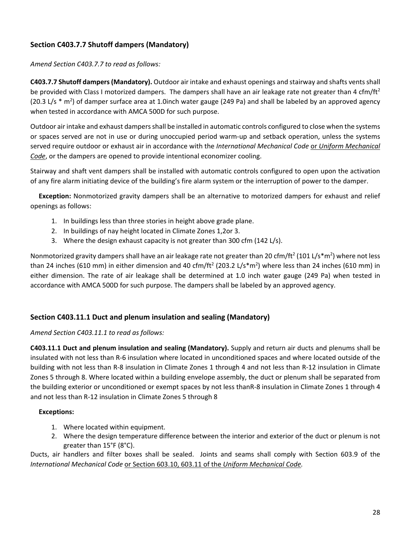# **Section C403.7.7 Shutoff dampers (Mandatory)**

### *Amend Section C403.7.7 to read as follows:*

**C403.7.7 Shutoff dampers(Mandatory).** Outdoor air intake and exhaust openings and stairway and shafts ventsshall be provided with Class I motorized dampers. The dampers shall have an air leakage rate not greater than 4 cfm/ft<sup>2</sup> (20.3 L/s  $*$  m<sup>2</sup>) of damper surface area at 1.0inch water gauge (249 Pa) and shall be labeled by an approved agency when tested in accordance with AMCA 500D for such purpose.

Outdoor air intake and exhaust dampers shall be installed in automatic controls configured to close when the systems or spaces served are not in use or during unoccupied period warm‐up and setback operation, unless the systems served require outdoor or exhaust air in accordance with the *International Mechanical Code* or *Uniform Mechanical Code*, or the dampers are opened to provide intentional economizer cooling.

Stairway and shaft vent dampers shall be installed with automatic controls configured to open upon the activation of any fire alarm initiating device of the building's fire alarm system or the interruption of power to the damper.

 **Exception:** Nonmotorized gravity dampers shall be an alternative to motorized dampers for exhaust and relief openings as follows:

- 1. In buildings less than three stories in height above grade plane.
- 2. In buildings of nay height located in Climate Zones 1,2or 3.
- 3. Where the design exhaust capacity is not greater than 300 cfm (142 L/s).

Nonmotorized gravity dampers shall have an air leakage rate not greater than 20 cfm/ft<sup>2</sup> (101 L/s\*m<sup>2</sup>) where not less than 24 inches (610 mm) in either dimension and 40 cfm/ft<sup>2</sup> (203.2 L/s\*m<sup>2</sup>) where less than 24 inches (610 mm) in either dimension. The rate of air leakage shall be determined at 1.0 inch water gauge (249 Pa) when tested in accordance with AMCA 500D for such purpose. The dampers shall be labeled by an approved agency.

### **Section C403.11.1 Duct and plenum insulation and sealing (Mandatory)**

### *Amend Section C403.11.1 to read as follows:*

**C403.11.1 Duct and plenum insulation and sealing (Mandatory).** Supply and return air ducts and plenums shall be insulated with not less than R‐6 insulation where located in unconditioned spaces and where located outside of the building with not less than R‐8 insulation in Climate Zones 1 through 4 and not less than R‐12 insulation in Climate Zones 5 through 8. Where located within a building envelope assembly, the duct or plenum shall be separated from the building exterior or unconditioned or exempt spaces by not less thanR‐8 insulation in Climate Zones 1 through 4 and not less than R‐12 insulation in Climate Zones 5 through 8

### **Exceptions:**

- 1. Where located within equipment.
- 2. Where the design temperature difference between the interior and exterior of the duct or plenum is not greater than 15°F (8°C).

Ducts, air handlers and filter boxes shall be sealed. Joints and seams shall comply with Section 603.9 of the *International Mechanical Code* or Section 603.10, 603.11 of the *Uniform Mechanical Code.*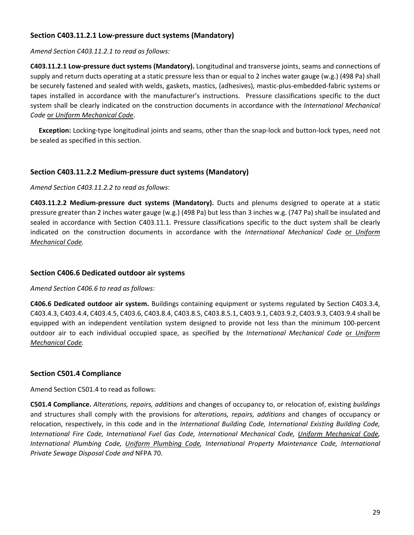### **Section C403.11.2.1 Low‐pressure duct systems (Mandatory)**

*Amend Section C403.11.2.1 to read as follows:*

**C403.11.2.1 Low‐pressure duct systems (Mandatory).** Longitudinal and transverse joints, seams and connections of supply and return ducts operating at a static pressure less than or equal to 2 inches water gauge (w.g.) (498 Pa) shall be securely fastened and sealed with welds, gaskets, mastics, (adhesives), mastic‐plus‐embedded‐fabric systems or tapes installed in accordance with the manufacturer's instructions. Pressure classifications specific to the duct system shall be clearly indicated on the construction documents in accordance with the *International Mechanical Code* or *Uniform Mechanical Code*.

**Exception:** Locking-type longitudinal joints and seams, other than the snap-lock and button-lock types, need not be sealed as specified in this section.

### **Section C403.11.2.2 Medium‐pressure duct systems (Mandatory)**

#### *Amend Section C403.11.2.2 to read as follows*:

**C403.11.2.2 Medium‐pressure duct systems (Mandatory).** Ducts and plenums designed to operate at a static pressure greater than 2 inches water gauge (w.g.) (498 Pa) but less than 3 inches w.g. (747 Pa) shall be insulated and sealed in accordance with Section C403.11.1. Pressure classifications specific to the duct system shall be clearly indicated on the construction documents in accordance with the *International Mechanical Code* or *Uniform Mechanical Code.*

#### **Section C406.6 Dedicated outdoor air systems**

#### *Amend Section C406.6 to read as follows:*

**C406.6 Dedicated outdoor air system.** Buildings containing equipment or systems regulated by Section C403.3.4, C403.4.3, C403.4.4, C403.4.5, C403.6, C403.8.4, C403.8.5, C403.8.5.1, C403.9.1, C403.9.2, C403.9.3, C403.9.4 shall be equipped with an independent ventilation system designed to provide not less than the minimum 100‐percent outdoor air to each individual occupied space, as specified by the *International Mechanical Code* or *Uniform Mechanical Code.*

#### **Section C501.4 Compliance**

Amend Section C501.4 to read as follows:

**C501.4 Compliance.** *Alterations, repairs, additions* and changes of occupancy to, or relocation of, existing *buildings* and structures shall comply with the provisions for *alterations, repairs, additions* and changes of occupancy or relocation, respectively, in this code and in the *International Building Code, International Existing Building Code, International Fire Code, International Fuel Gas Code, International Mechanical Code, Uniform Mechanical Code, International Plumbing Code, Uniform Plumbing Code, International Property Maintenance Code, International Private Sewage Disposal Code and* NFPA 70.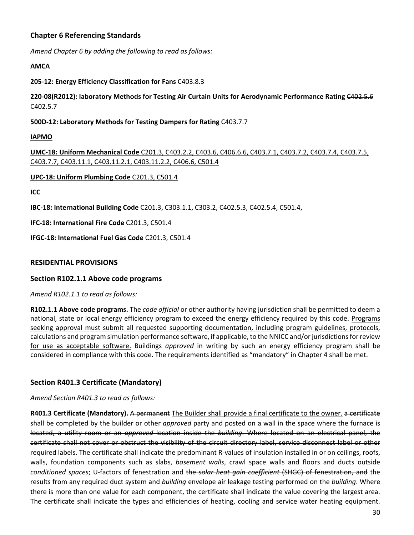### **Chapter 6 Referencing Standards**

*Amend Chapter 6 by adding the following to read as follows:*

#### **AMCA**

#### **205‐12: Energy Efficiency Classification for Fans** C403.8.3

**220‐08(R2012): laboratory Methods for Testing Air Curtain Units for Aerodynamic Performance Rating** C402.5.6 C402.5.7

**500D‐12: Laboratory Methods for Testing Dampers for Rating** C403.7.7

#### **IAPMO**

**UMC‐18: Uniform Mechanical Code** C201.3, C403.2.2, C403.6, C406.6.6, C403.7.1, C403.7.2, C403.7.4, C403.7.5, C403.7.7, C403.11.1, C403.11.2.1, C403.11.2.2, C406.6, C501.4

#### **UPC‐18: Uniform Plumbing Code** C201.3, C501.4

**ICC**

**IBC‐18: International Building Code** C201.3, C303.1.1, C303.2, C402.5.3, C402.5.4, C501.4,

**IFC‐18: International Fire Code** C201.3, C501.4

**IFGC‐18: International Fuel Gas Code** C201.3, C501.4

### **RESIDENTIAL PROVISIONS**

### **Section R102.1.1 Above code programs**

*Amend R102.1.1 to read as follows:*

**R102.1.1 Above code programs.** The *code official* or other authority having jurisdiction shall be permitted to deem a national, state or local energy efficiency program to exceed the energy efficiency required by this code. Programs seeking approval must submit all requested supporting documentation, including program guidelines, protocols, calculations and program simulation performance software, if applicable, to the NNICC and/or jurisdictions for review for use as acceptable software. Buildings *approved* in writing by such an energy efficiency program shall be considered in compliance with this code. The requirements identified as "mandatory" in Chapter 4 shall be met.

### **Section R401.3 Certificate (Mandatory)**

*Amend Section R401.3 to read as follows:*

**R401.3 Certificate (Mandatory).** A permanent The Builder shall provide a final certificate to the owner. a certificate shall be completed by the builder or other *approved* party and posted on a wall in the space where the furnace is located, a utility room or an *approved* location inside the *building*. Where located on an electrical panel, the certificate shall not cover or obstruct the visibility of the circuit directory label, service disconnect label or other required labels. The certificate shall indicate the predominant R-values of insulation installed in or on ceilings, roofs, walls, foundation components such as slabs, *basement walls*, crawl space walls and floors and ducts outside *conditioned spaces*; U‐factors of fenestration and the *solar heat gain coefficient* (SHGC) of fenestration, and the results from any required duct system and *building* envelope air leakage testing performed on the *building*. Where there is more than one value for each component, the certificate shall indicate the value covering the largest area. The certificate shall indicate the types and efficiencies of heating, cooling and service water heating equipment.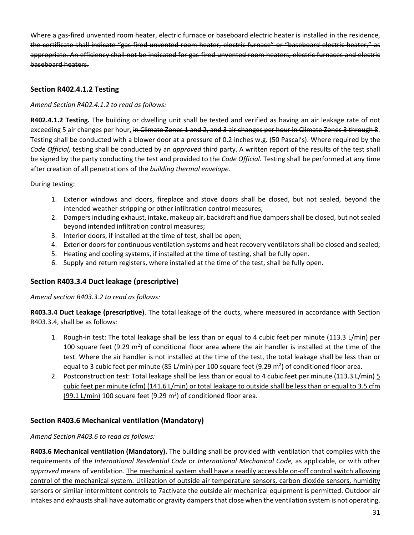Where a gas-fired unvented room heater, electric furnace or baseboard electric heater is installed in the residence, the certificate shall indicate "gas fired unvented room heater, electric furnace" or "baseboard electric heater," as appropriate. An efficiency shall not be indicated for gas-fired unvented room heaters, electric furnaces and electric baseboard heaters.

### **Section R402.4.1.2 Testing**

*Amend Section R402.4.1.2 to read as follows:*

**R402.4.1.2 Testing.** The building or dwelling unit shall be tested and verified as having an air leakage rate of not exceeding 5 air changes per hour, in Climate Zones 1 and 2, and 3 air changes per hour in Climate Zones 3 through 8. Testing shall be conducted with a blower door at a pressure of 0.2 inches w.g. (50 Pascal's). Where required by the *Code Official,* testing shall be conducted by an *approved* third party. A written report of the results of the test shall be signed by the party conducting the test and provided to the *Code Official.* Testing shall be performed at any time after creation of all penetrations of the *building thermal envelope.*

During testing:

- 1. Exterior windows and doors, fireplace and stove doors shall be closed, but not sealed, beyond the intended weather‐stripping or other infiltration control measures;
- 2. Dampers including exhaust, intake, makeup air, backdraft and flue dampers shall be closed, but not sealed beyond intended infiltration control measures;
- 3. Interior doors, if installed at the time of test, shall be open;
- 4. Exterior doors for continuous ventilation systems and heat recovery ventilators shall be closed and sealed;
- 5. Heating and cooling systems, if installed at the time of testing, shall be fully open.
- 6. Supply and return registers, where installed at the time of the test, shall be fully open.

### **Section R403.3.4 Duct leakage (prescriptive)**

*Amend section R403.3.2 to read as follows:*

**R403.3.4 Duct Leakage (prescriptive)**. The total leakage of the ducts, where measured in accordance with Section R403.3.4, shall be as follows:

- 1. Rough‐in test: The total leakage shall be less than or equal to 4 cubic feet per minute (113.3 L/min) per 100 square feet (9.29  $m^2$ ) of conditional floor area where the air handler is installed at the time of the test. Where the air handler is not installed at the time of the test, the total leakage shall be less than or equal to 3 cubic feet per minute (85 L/min) per 100 square feet (9.29 m<sup>2</sup>) of conditioned floor area.
- 2. Postconstruction test: Total leakage shall be less than or equal to 4 cubic feet per minute (113.3 L/min) 5 cubic feet per minute (cfm) (141.6 L/min) or total leakage to outside shall be less than or equal to 3.5 cfm  $(99.1 L/min)$  100 square feet (9.29 m<sup>2</sup>) of conditioned floor area.

### **Section R403.6 Mechanical ventilation (Mandatory)**

### *Amend Section R403.6 to read as follows:*

**R403.6 Mechanical ventilation (Mandatory).** The building shall be provided with ventilation that complies with the requirements of the *International Residential Code* or *International Mechanical Code,* as applicable, or with other *approved* means of ventilation. The mechanical system shall have a readily accessible on‐off control switch allowing control of the mechanical system. Utilization of outside air temperature sensors, carbon dioxide sensors, humidity sensors or similar intermittent controls to 7activate the outside air mechanical equipment is permitted. Outdoor air intakes and exhausts shall have automatic or gravity dampers that close when the ventilation system is not operating.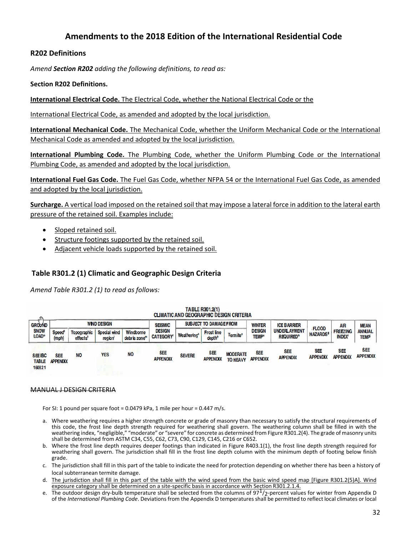### **Amendments to the 2018 Edition of the International Residential Code**

### **R202 Definitions**

*Amend Section R202 adding the following definitions, to read as:*

**Section R202 Definitions.**

**International Electrical Code.** The Electrical Code, whether the National Electrical Code or the

International Electrical Code, as amended and adopted by the local jurisdiction.

**International Mechanical Code.** The Mechanical Code, whether the Uniform Mechanical Code or the International Mechanical Code as amended and adopted by the local jurisdiction.

**International Plumbing Code.** The Plumbing Code, whether the Uniform Plumbing Code or the International Plumbing Code, as amended and adopted by the local jurisdiction.

**International Fuel Gas Code.** The Fuel Gas Code, whether NFPA 54 or the International Fuel Gas Code, as amended and adopted by the local jurisdiction.

**Surcharge.** A vertical load imposed on the retained soil that may impose a lateral force in addition to the lateral earth pressure of the retained soil. Examples include:

- Sloped retained soil.
- Structure footings supported by the retained soil.
- Adjacent vehicle loads supported by the retained soil.

### **Table R301.2 (1) Climatic and Geographic Design Criteria**

*Amend Table R301.2 (1) to read as follows:*

|                                          |                               |                                     |                        |                           |                                  | <b>CLIMATIC AND GEOGRAPHIC DESIGN CRITERIA</b> | <b>I ADLE NOVILE!</b>                   |                                    |                                          |                                                    |                                 |                                  |                               |
|------------------------------------------|-------------------------------|-------------------------------------|------------------------|---------------------------|----------------------------------|------------------------------------------------|-----------------------------------------|------------------------------------|------------------------------------------|----------------------------------------------------|---------------------------------|----------------------------------|-------------------------------|
| <b>GROUND</b>                            |                               |                                     | <b>WND DESIGN</b>      |                           | <b>SEISMIC</b>                   |                                                | <b>SUBJECT TO DAMAGEFROM</b>            |                                    | <b>WINTER</b>                            | <b>ICE BARRIER</b>                                 |                                 | <b>AIR</b>                       | <b>MEAN</b>                   |
| <b>SNOW</b><br>LOAD <sup>®</sup>         | Speed <sup>d</sup><br>(mph)   | Topographic<br>effects <sup>k</sup> | Special wind<br>region | Windborne<br>debris zone" | <b>DESIGN</b><br><b>CATEGORY</b> | Weathering®                                    | <b>Frost line</b><br>depth <sup>b</sup> | <b>Termite<sup>c</sup></b>         | <b>DESIGN</b><br><b>TEMP<sup>®</sup></b> | <b>UNDERLAYMENT</b><br><b>REQUIRED<sup>®</sup></b> | <b>FLOOD</b><br><b>HAZARDS®</b> | <b>FREEZING</b><br><b>INDEX®</b> | <b>ANNUAL</b><br><b>TEMP</b>  |
| <b>SEE IBC</b><br><b>TABLE</b><br>160821 | <b>SEE</b><br><b>APPENDIX</b> | <b>NO</b>                           | <b>YES</b>             | <b>NO</b>                 | <b>SEE</b><br><b>APPENDIX</b>    | <b>SEVERE</b>                                  | SEE<br><b>APPENDIX</b>                  | <b>MODERATE</b><br><b>TO HEAVY</b> | <b>SEE</b><br><b>APPENDIX</b>            | <b>SEE</b><br><b>APPENDIX</b>                      | <b>SEE</b><br><b>APPENDI</b>    | <b>SEE</b><br><b>APPENDIX</b>    | <b>SEE</b><br><b>APPENDIX</b> |

TABLE DOOS OUN

#### MANUAL J DESIGN CRITERIA

For SI: 1 pound per square foot =  $0.0479$  kPa, 1 mile per hour =  $0.447$  m/s.

- a. Where weathering requires a higher strength concrete or grade of masonry than necessary to satisfy the structural requirements of this code, the frost line depth strength required for weathering shall govern. The weathering column shall be filled in with the weathering index, "negligible," "moderate" or "severe" for concrete as determined from Figure R301.2(4). The grade of masonry units shall be determined from ASTM C34, C55, C62, C73, C90, C129, C145, C216 or C652.
- b. Where the frost line depth requires deeper footings than indicated in Figure R403.1(1), the frost line depth strength required for weathering shall govern. The jurisdiction shall fill in the frost line depth column with the minimum depth of footing below finish grade.
- c. The jurisdiction shall fill in this part of the table to indicate the need for protection depending on whether there has been a history of local subterranean termite damage.
- d. The jurisdiction shall fill in this part of the table with the wind speed from the basic wind speed map [Figure R301.2(5)A]. Wind exposure category shall be determined on a site-specific basis in accordance with Section R301.2.1.4.
- e. The outdoor design dry-bulb temperature shall be selected from the columns of  $97<sup>1</sup>/2$ -percent values for winter from Appendix D of the *International Plumbing Code*. Deviations from the Appendix D temperaturesshall be permitted to reflect local climates or local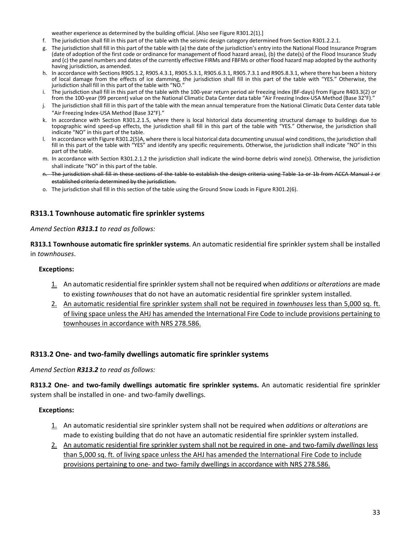weather experience as determined by the building official. [Also see Figure R301.2(1).]

- f. The jurisdiction shall fill in this part of the table with the seismic design category determined from Section R301.2.2.1.
- g. The jurisdiction shall fill in this part of the table with (a) the date of the jurisdiction's entry into the National Flood Insurance Program (date of adoption of the first code or ordinance for management of flood hazard areas), (b) the date(s) of the Flood Insurance Study and (c) the panel numbers and dates of the currently effective FIRMs and FBFMs or other flood hazard map adopted by the authority having jurisdiction, as amended.
- h. In accordance with Sections R905.1.2, R905.4.3.1, R905.5.3.1, R905.6.3.1, R905.7.3.1 and R905.8.3.1, where there has been a history of local damage from the effects of ice damming, the jurisdiction shall fill in this part of the table with "YES." Otherwise, the jurisdiction shall fill in this part of the table with "NO."
- i. The jurisdiction shall fill in this part of the table with the 100‐year return period air freezing index (BF‐days) from Figure R403.3(2) or from the 100‐year (99 percent) value on the National Climatic Data Center data table "Air Freezing Index‐USA Method (Base 32°F)."
- j. The jurisdiction shall fill in this part of the table with the mean annual temperature from the National Climatic Data Center data table "Air Freezing Index‐USA Method (Base 32°F)."
- k. In accordance with Section R301.2.1.5, where there is local historical data documenting structural damage to buildings due to topographic wind speed‐up effects, the jurisdiction shall fill in this part of the table with "YES." Otherwise, the jurisdiction shall indicate "NO" in this part of the table.
- l. In accordance with Figure R301.2(5)A, where there is local historical data documenting unusual wind conditions, the jurisdiction shall fill in this part of the table with "YES" and identify any specific requirements. Otherwise, the jurisdiction shall indicate "NO" in this part of the table.
- m. In accordance with Section R301.2.1.2 the jurisdiction shall indicate the wind‐borne debris wind zone(s). Otherwise, the jurisdiction shall indicate "NO" in this part of the table.
- n. The jurisdiction shall fill in these sections of the table to establish the design criteria using Table 1a or 1b from ACCA Manual J or established criteria determined by the jurisdiction.
- o. The jurisdiction shall fill in this section of the table using the Ground Snow Loads in Figure R301.2(6).

### **R313.1 Townhouse automatic fire sprinkler systems**

#### *Amend Section R313.1 to read as follows:*

**R313.1 Townhouse automatic fire sprinkler systems**. An automatic residential fire sprinkler system shall be installed in *townhouses*.

#### **Exceptions:**

- 1. An automatic residential fire sprinklersystem shall not be required when *additions* or *alterations* are made to existing *townhouses* that do not have an automatic residential fire sprinkler system installed.
- 2. An automatic residential fire sprinkler system shall not be required in *townhouses* less than 5,000 sq. ft. of living space unless the AHJ has amended the International Fire Code to include provisions pertaining to townhouses in accordance with NRS 278.586.

#### **R313.2 One‐ and two‐family dwellings automatic fire sprinkler systems**

#### *Amend Section R313.2 to read as follows:*

**R313.2 One‐ and two‐family dwellings automatic fire sprinkler systems.** An automatic residential fire sprinkler system shall be installed in one- and two-family dwellings.

#### **Exceptions:**

- 1. An automatic residential sire sprinkler system shall not be required when *additions* or *alterations* are made to existing building that do not have an automatic residential fire sprinkler system installed.
- 2. An automatic residential fire sprinkler system shall not be required in one‐ and two‐family *dwellings* less than 5,000 sq. ft. of living space unless the AHJ has amended the International Fire Code to include provisions pertaining to one- and two- family dwellings in accordance with NRS 278.586.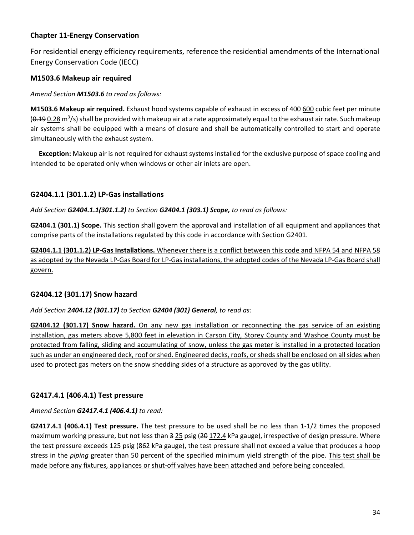### **Chapter 11‐Energy Conservation**

For residential energy efficiency requirements, reference the residential amendments of the International Energy Conservation Code (IECC)

### **M1503.6 Makeup air required**

*Amend Section M1503.6 to read as follows:*

**M1503.6 Makeup air required.** Exhaust hood systems capable of exhaust in excess of 400 600 cubic feet per minute (<del>0.19</del> 0.28 m<sup>3</sup>/s) shall be provided with makeup air at a rate approximately equal to the exhaust air rate. Such makeup air systems shall be equipped with a means of closure and shall be automatically controlled to start and operate simultaneously with the exhaust system.

 **Exception:** Makeup air is not required for exhaust systems installed for the exclusive purpose of space cooling and intended to be operated only when windows or other air inlets are open.

### **G2404.1.1 (301.1.2) LP‐Gas installations**

*Add Section G2404.1.1(301.1.2) to Section G2404.1 (303.1) Scope, to read as follows:*

**G2404.1 (301.1) Scope.** This section shall govern the approval and installation of all equipment and appliances that comprise parts of the installations regulated by this code in accordance with Section G2401.

**G2404.1.1 (301.1.2) LP‐Gas Installations.** Whenever there is a conflict between this code and NFPA 54 and NFPA 58 as adopted by the Nevada LP‐Gas Board for LP‐Gas installations, the adopted codes of the Nevada LP‐Gas Board shall govern.

### **G2404.12 (301.17) Snow hazard**

*Add Section 2404.12 (301.17) to Section G2404 (301) General, to read as:*

**G2404.12 (301.17) Snow hazard.** On any new gas installation or reconnecting the gas service of an existing installation, gas meters above 5,800 feet in elevation in Carson City, Storey County and Washoe County must be protected from falling, sliding and accumulating of snow, unless the gas meter is installed in a protected location such as under an engineered deck, roof or shed. Engineered decks, roofs, or sheds shall be enclosed on all sides when used to protect gas meters on the snow shedding sides of a structure as approved by the gas utility.

### **G2417.4.1 (406.4.1) Test pressure**

### *Amend Section G2417.4.1 (406.4.1) to read:*

**G2417.4.1 (406.4.1) Test pressure.** The test pressure to be used shall be no less than 1‐1/2 times the proposed maximum working pressure, but not less than 3 25 psig (20 172.4 kPa gauge), irrespective of design pressure. Where the test pressure exceeds 125 psig (862 kPa gauge), the test pressure shall not exceed a value that produces a hoop stress in the *piping* greater than 50 percent of the specified minimum yield strength of the pipe. This test shall be made before any fixtures, appliances or shut-off valves have been attached and before being concealed.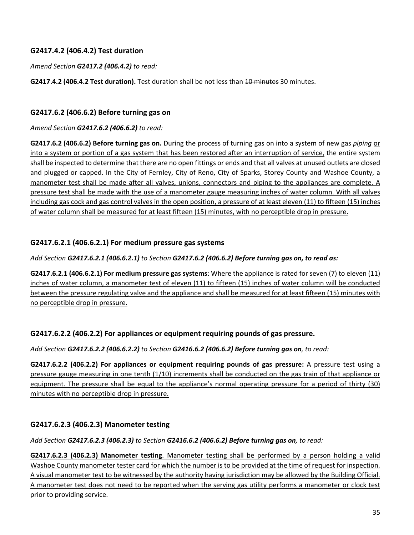### **G2417.4.2 (406.4.2) Test duration**

*Amend Section G2417.2 (406.4.2) to read:*

**G2417.4.2 (406.4.2 Test duration).** Test duration shall be not less than 10 minutes 30 minutes.

### **G2417.6.2 (406.6.2) Before turning gas on**

*Amend Section G2417.6.2 (406.6.2) to read:*

**G2417.6.2 (406.6.2) Before turning gas on.** During the process of turning gas on into a system of new gas *piping* or into a system or portion of a gas system that has been restored after an interruption of service, the entire system shall be inspected to determine that there are no open fittings or ends and that all valves at unused outlets are closed and plugged or capped. In the City of Fernley, City of Reno, City of Sparks, Storey County and Washoe County, a manometer test shall be made after all valves, unions, connectors and piping to the appliances are complete. A pressure test shall be made with the use of a manometer gauge measuring inches of water column. With all valves including gas cock and gas control valves in the open position, a pressure of at least eleven (11) to fifteen (15) inches of water column shall be measured for at least fifteen (15) minutes, with no perceptible drop in pressure.

### **G2417.6.2.1 (406.6.2.1) For medium pressure gas systems**

### *Add Section G2417.6.2.1 (406.6.2.1) to Section G2417.6.2 (406.6.2) Before turning gas on, to read as:*

**G2417.6.2.1 (406.6.2.1) For medium pressure gas systems**: Where the appliance is rated for seven (7) to eleven (11) inches of water column, a manometer test of eleven (11) to fifteen (15) inches of water column will be conducted between the pressure regulating valve and the appliance and shall be measured for at least fifteen (15) minutes with no perceptible drop in pressure.

### **G2417.6.2.2 (406.2.2) For appliances or equipment requiring pounds of gas pressure.**

*Add Section G2417.6.2.2 (406.6.2.2) to Section G2416.6.2 (406.6.2) Before turning gas on, to read:*

**G2417.6.2.2 (406.2.2) For appliances or equipment requiring pounds of gas pressure:** A pressure test using a pressure gauge measuring in one tenth (1/10) increments shall be conducted on the gas train of that appliance or equipment. The pressure shall be equal to the appliance's normal operating pressure for a period of thirty (30) minutes with no perceptible drop in pressure.

### **G2417.6.2.3 (406.2.3) Manometer testing**

*Add Section G2417.6.2.3 (406.2.3) to Section G2416.6.2 (406.6.2) Before turning gas on, to read:*

**G2417.6.2.3 (406.2.3) Manometer testing**. Manometer testing shall be performed by a person holding a valid Washoe County manometer tester card for which the number is to be provided at the time of request for inspection. A visual manometer test to be witnessed by the authority having jurisdiction may be allowed by the Building Official. A manometer test does not need to be reported when the serving gas utility performs a manometer or clock test prior to providing service.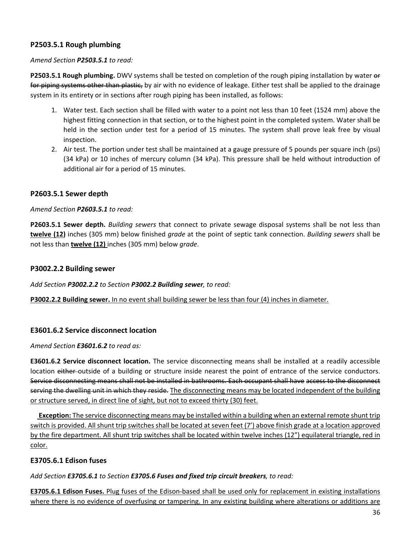### **P2503.5.1 Rough plumbing**

#### *Amend Section P2503.5.1 to read:*

**P2503.5.1 Rough plumbing.** DWV systems shall be tested on completion of the rough piping installation by water or for piping systems other than plastic, by air with no evidence of leakage. Either test shall be applied to the drainage system in its entirety or in sections after rough piping has been installed, as follows:

- 1. Water test. Each section shall be filled with water to a point not less than 10 feet (1524 mm) above the highest fitting connection in that section, or to the highest point in the completed system. Water shall be held in the section under test for a period of 15 minutes. The system shall prove leak free by visual inspection.
- 2. Air test. The portion under test shall be maintained at a gauge pressure of 5 pounds per square inch (psi) (34 kPa) or 10 inches of mercury column (34 kPa). This pressure shall be held without introduction of additional air for a period of 15 minutes.

### **P2603.5.1 Sewer depth**

#### *Amend Section P2603.5.1 to read:*

**P2603.5.1 Sewer depth.** *Building sewers* that connect to private sewage disposal systems shall be not less than **twelve (12)** inches (305 mm) below finished *grade* at the point of septic tank connection. *Building sewers* shall be not less than **twelve (12)** inches (305 mm) below *grade*.

#### **P3002.2.2 Building sewer**

*Add Section P3002.2.2 to Section P3002.2 Building sewer, to read:*

**P3002.2.2 Building sewer.** In no event shall building sewer be less than four (4) inches in diameter.

### **E3601.6.2 Service disconnect location**

*Amend Section E3601.6.2 to read as:*

**E3601.6.2 Service disconnect location.** The service disconnecting means shall be installed at a readily accessible location either outside of a building or structure inside nearest the point of entrance of the service conductors. Service disconnecting means shall not be installed in bathrooms. Each occupant shall have access to the disconnect serving the dwelling unit in which they reside. The disconnecting means may be located independent of the building or structure served, in direct line of sight, but not to exceed thirty (30) feet.

**Exception:** The service disconnecting means may be installed within a building when an external remote shunt trip switch is provided. All shunt trip switches shall be located at seven feet (7') above finish grade at a location approved by the fire department. All shunt trip switches shall be located within twelve inches (12") equilateral triangle, red in color.

### **E3705.6.1 Edison fuses**

*Add Section E3705.6.1 to Section E3705.6 Fuses and fixed trip circuit breakers, to read:*

**E3705.6.1 Edison Fuses.** Plug fuses of the Edison‐based shall be used only for replacement in existing installations where there is no evidence of overfusing or tampering. In any existing building where alterations or additions are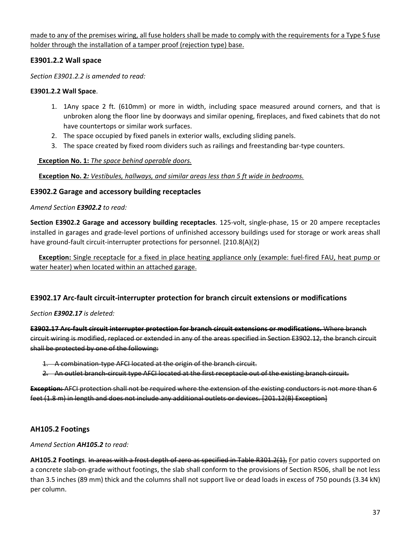made to any of the premises wiring, all fuse holders shall be made to comply with the requirements for a Type S fuse holder through the installation of a tamper proof (rejection type) base.

### **E3901.2.2 Wall space**

*Section E3901.2.2 is amended to read:*

#### **E3901.2.2 Wall Space**.

- 1. 1Any space 2 ft. (610mm) or more in width, including space measured around corners, and that is unbroken along the floor line by doorways and similar opening, fireplaces, and fixed cabinets that do not have countertops or similar work surfaces.
- 2. The space occupied by fixed panels in exterior walls, excluding sliding panels.
- 3. The space created by fixed room dividers such as railings and freestanding bar‐type counters.

### **Exception No. 1:** *The space behind operable doors.*

**Exception No. 2***: Vestibules, hallways, and similar areas less than 5 ft wide in bedrooms.*

### **E3902.2 Garage and accessory building receptacles**

#### *Amend Section E3902.2 to read:*

**Section E3902.2 Garage and accessory building receptacles**. 125‐volt, single‐phase, 15 or 20 ampere receptacles installed in garages and grade‐level portions of unfinished accessory buildings used for storage or work areas shall have ground-fault circuit-interrupter protections for personnel. [210.8(A)(2)

**Exception:** Single receptacle for a fixed in place heating appliance only (example: fuel-fired FAU, heat pump or water heater) when located within an attached garage.

### **E3902.17 Arc‐fault circuit‐interrupter protection for branch circuit extensions or modifications**

### *Section E3902.17 is deleted:*

**E3902.17 Arc‐fault circuit interrupter protection for branch circuit extensions or modifications.** Where branch circuit wiring is modified, replaced or extended in any of the areas specified in Section E3902.12, the branch circuit shall be protected by one of the following:

1. A combination-type AFCI located at the origin of the branch circuit.

2. An outlet branch-circuit type AFCI located at the first receptacle out of the existing branch circuit.

**Exception:** AFCI protection shall not be required where the extension of the existing conductors is not more than 6 feet (1.8 m) in length and does not include any additional outlets or devices. [201.12(B) Exception]

### **AH105.2 Footings**

### *Amend Section AH105.2 to read:*

**AH105.2 Footings**. In areas with a frost depth of zero as specified in Table R301.2(1), For patio covers supported on a concrete slab‐on‐grade without footings, the slab shall conform to the provisions of Section R506, shall be not less than 3.5 inches (89 mm) thick and the columns shall not support live or dead loads in excess of 750 pounds (3.34 kN) per column.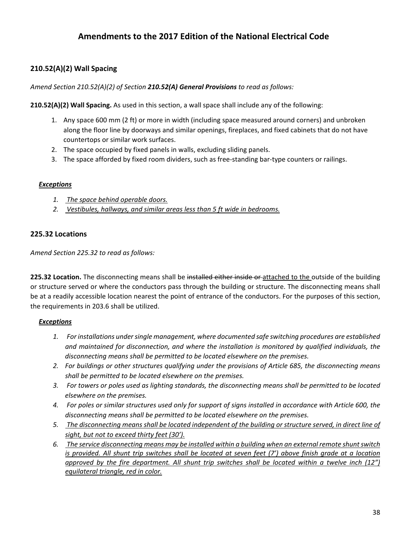# **Amendments to the 2017 Edition of the National Electrical Code**

### **210.52(A)(2) Wall Spacing**

#### *Amend Section 210.52(A)(2) of Section 210.52(A) General Provisions to read as follows:*

**210.52(A)(2) Wall Spacing.** As used in this section, a wall space shall include any of the following:

- 1. Any space 600 mm (2 ft) or more in width (including space measured around corners) and unbroken along the floor line by doorways and similar openings, fireplaces, and fixed cabinets that do not have countertops or similar work surfaces.
- 2. The space occupied by fixed panels in walls, excluding sliding panels.
- 3. The space afforded by fixed room dividers, such as free-standing bar-type counters or railings.

#### *Exceptions*

- *1. The space behind operable doors.*
- *2. Vestibules, hallways, and similar areas less than 5 ft wide in bedrooms.*

#### **225.32 Locations**

*Amend Section 225.32 to read as follows:*

**225.32 Location.** The disconnecting means shall be installed either inside or attached to the outside of the building or structure served or where the conductors pass through the building or structure. The disconnecting means shall be at a readily accessible location nearest the point of entrance of the conductors. For the purposes of this section, the requirements in 203.6 shall be utilized.

#### *Exceptions*

- *1. For installations undersingle management, where documented safe switching procedures are established and maintained for disconnection, and where the installation is monitored by qualified individuals, the disconnecting means shall be permitted to be located elsewhere on the premises.*
- *2. For buildings or other structures qualifying under the provisions of Article 685, the disconnecting means shall be permitted to be located elsewhere on the premises.*
- 3. For towers or poles used as lighting standards, the disconnecting means shall be permitted to be located *elsewhere on the premises.*
- 4. For poles or similar structures used only for support of signs installed in accordance with Article 600, the *disconnecting means shall be permitted to be located elsewhere on the premises.*
- 5. The disconnecting means shall be located independent of the building or structure served, in direct line of *sight, but not to exceed thirty feet (30').*
- *6. The service disconnecting means may be installed within a building when an external remote shuntswitch* is provided. All shunt trip switches shall be located at seven feet (7') above finish grade at a location *approved by the fire department. All shunt trip switches shall be located within a twelve inch (12") equilateral triangle, red in color.*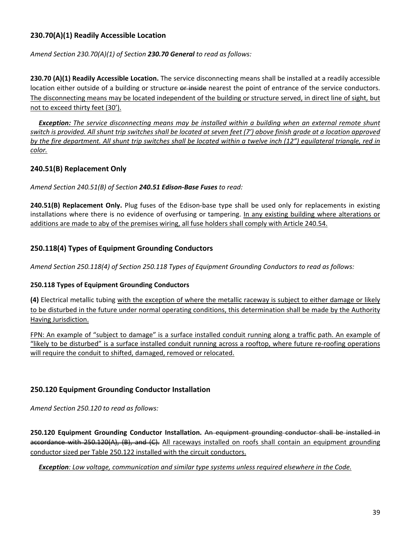### **230.70(A)(1) Readily Accessible Location**

*Amend Section 230.70(A)(1) of Section 230.70 General to read as follows:*

**230.70 (A)(1) Readily Accessible Location.** The service disconnecting means shall be installed at a readily accessible location either outside of a building or structure or inside nearest the point of entrance of the service conductors. The disconnecting means may be located independent of the building or structure served, in direct line of sight, but not to exceed thirty feet (30').

**Exception:** The service disconnecting means may be installed within a building when an external remote shunt switch is provided. All shunt trip switches shall be located at seven feet (7') above finish grade at a location approved by the fire department. All shunt trip switches shall be located within a twelve inch (12") equilateral triangle, red in *color.*

### **240.51(B) Replacement Only**

*Amend Section 240.51(B) of Section 240.51 Edison‐Base Fuses to read:*

**240.51(B) Replacement Only.** Plug fuses of the Edison‐base type shall be used only for replacements in existing installations where there is no evidence of overfusing or tampering. In any existing building where alterations or additions are made to aby of the premises wiring, all fuse holders shall comply with Article 240.54.

### **250.118(4) Types of Equipment Grounding Conductors**

*Amend Section 250.118(4) of Section 250.118 Types of Equipment Grounding Conductors to read as follows:*

### **250.118 Types of Equipment Grounding Conductors**

**(4)** Electrical metallic tubing with the exception of where the metallic raceway is subject to either damage or likely to be disturbed in the future under normal operating conditions, this determination shall be made by the Authority Having Jurisdiction.

FPN: An example of "subject to damage" is a surface installed conduit running along a traffic path. An example of "likely to be disturbed" is a surface installed conduit running across a rooftop, where future re‐roofing operations will require the conduit to shifted, damaged, removed or relocated.

### **250.120 Equipment Grounding Conductor Installation**

*Amend Section 250.120 to read as follows:*

**250.120 Equipment Grounding Conductor Installation.** An equipment grounding conductor shall be installed in accordance with 250.120(A), (B), and (C). All raceways installed on roofs shall contain an equipment grounding conductor sized per Table 250.122 installed with the circuit conductors.

 *Exception: Low voltage, communication and similar type systems unless required elsewhere in the Code.*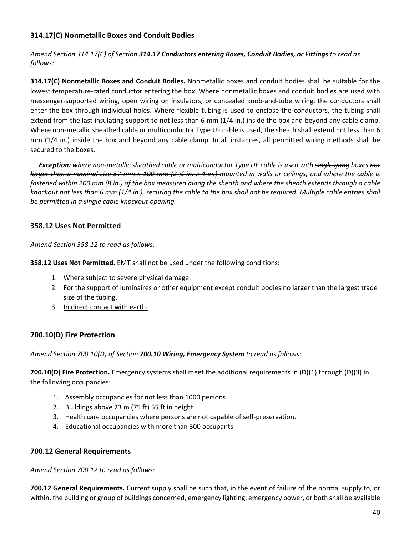### **314.17(C) Nonmetallic Boxes and Conduit Bodies**

*Amend Section 314.17(C) of Section 314.17 Conductors entering Boxes, Conduit Bodies, or Fittings to read as follows:*

**314.17(C) Nonmetallic Boxes and Conduit Bodies.** Nonmetallic boxes and conduit bodies shall be suitable for the lowest temperature‐rated conductor entering the box. Where nonmetallic boxes and conduit bodies are used with messenger‐supported wiring, open wiring on insulators, or concealed knob‐and‐tube wiring, the conductors shall enter the box through individual holes. Where flexible tubing is used to enclose the conductors, the tubing shall extend from the last insulating support to not less than 6 mm (1/4 in.) inside the box and beyond any cable clamp. Where non-metallic sheathed cable or multiconductor Type UF cable is used, the sheath shall extend not less than 6 mm (1/4 in.) inside the box and beyond any cable clamp. In all instances, all permitted wiring methods shall be secured to the boxes.

**Exception:** where non-metallic sheathed cable or multiconductor Type UF cable is used with single gang boxes not larger than a nominal size 57 mm x 100 mm (2 1/4 in. x 4 in.) mounted in walls or ceilings, and where the cable is fastened within 200 mm (8 in.) of the box measured along the sheath and where the sheath extends through a cable knockout not less than 6 mm (1/4 in.), securing the cable to the box shall not be required. Multiple cable entries shall *be permitted in a single cable knockout opening.*

### **358.12 Uses Not Permitted**

*Amend Section 358.12 to read as follows:*

**358.12 Uses Not Permitted.** EMT shall not be used under the following conditions:

- 1. Where subject to severe physical damage.
- 2. For the support of luminaires or other equipment except conduit bodies no larger than the largest trade size of the tubing.
- 3. In direct contact with earth.

### **700.10(D) Fire Protection**

*Amend Section 700.10(D) of Section 700.10 Wiring, Emergency System to read as follows:*

**700.10(D) Fire Protection.** Emergency systems shall meet the additional requirements in (D)(1) through (D)(3) in the following occupancies:

- 1. Assembly occupancies for not less than 1000 persons
- 2. Buildings above  $23 \text{ m}$   $(75 \text{ ft})$  55 ft in height
- 3. Health care occupancies where persons are not capable of self‐preservation.
- 4. Educational occupancies with more than 300 occupants

### **700.12 General Requirements**

*Amend Section 700.12 to read as follows:*

**700.12 General Requirements.** Current supply shall be such that, in the event of failure of the normal supply to, or within, the building or group of buildings concerned, emergency lighting, emergency power, or both shall be available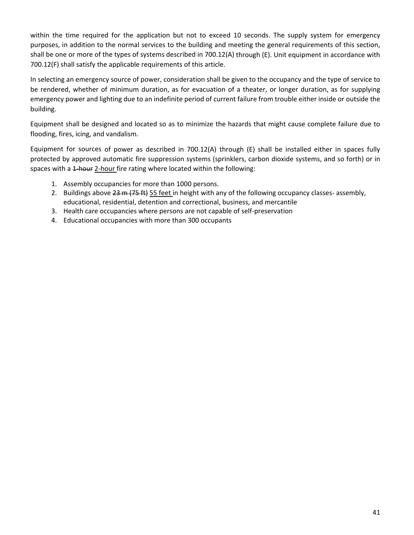within the time required for the application but not to exceed 10 seconds. The supply system for emergency purposes, in addition to the normal services to the building and meeting the general requirements of this section, shall be one or more of the types of systems described in 700.12(A) through (E). Unit equipment in accordance with 700.12(F) shall satisfy the applicable requirements of this article.

In selecting an emergency source of power, consideration shall be given to the occupancy and the type of service to be rendered, whether of minimum duration, as for evacuation of a theater, or longer duration, as for supplying emergency power and lighting due to an indefinite period of current failure from trouble either inside or outside the building.

Equipment shall be designed and located so as to minimize the hazards that might cause complete failure due to flooding, fires, icing, and vandalism.

Equipment for sources of power as described in 700.12(A) through (E) shall be installed either in spaces fully protected by approved automatic fire suppression systems (sprinklers, carbon dioxide systems, and so forth) or in spaces with a 1-hour 2-hour fire rating where located within the following:

- 1. Assembly occupancies for more than 1000 persons.
- 2. Buildings above 23 m (75 ft) 55 feet in height with any of the following occupancy classes- assembly, educational, residential, detention and correctional, business, and mercantile
- 3. Health care occupancies where persons are not capable of self‐preservation
- 4. Educational occupancies with more than 300 occupants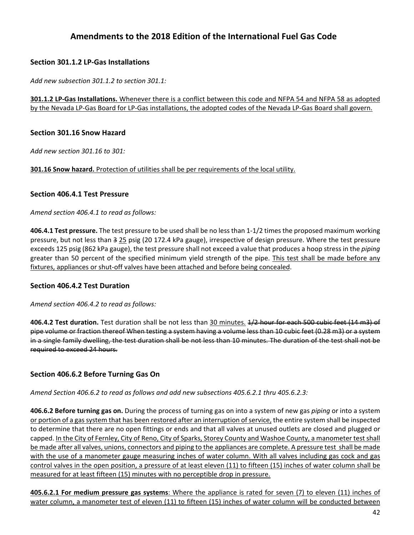# **Amendments to the 2018 Edition of the International Fuel Gas Code**

### **Section 301.1.2 LP‐Gas Installations**

*Add new subsection 301.1.2 to section 301.1:*

**301.1.2 LP‐Gas Installations.** Whenever there is a conflict between this code and NFPA 54 and NFPA 58 as adopted by the Nevada LP-Gas Board for LP-Gas installations, the adopted codes of the Nevada LP-Gas Board shall govern.

### **Section 301.16 Snow Hazard**

*Add new section 301.16 to 301:*

**301.16 Snow hazard.** Protection of utilities shall be per requirements of the local utility.

#### **Section 406.4.1 Test Pressure**

*Amend section 406.4.1 to read as follows:*

**406.4.1 Test pressure.** The test pressure to be used shall be no lessthan 1‐1/2 timesthe proposed maximum working pressure, but not less than 3 25 psig (20 172.4 kPa gauge), irrespective of design pressure. Where the test pressure exceeds 125 psig (862 kPa gauge), the test pressure shall not exceed a value that produces a hoop stress in the *piping* greater than 50 percent of the specified minimum yield strength of the pipe. This test shall be made before any fixtures, appliances or shut-off valves have been attached and before being concealed.

### **Section 406.4.2 Test Duration**

*Amend section 406.4.2 to read as follows:*

**406.4.2 Test duration.** Test duration shall be not less than 30 minutes. 1/2 hour for each 500 cubic feet (14 m3) of pipe volume or fraction thereof When testing a system having a volume less than 10 cubic feet (0.28 m3) or a system in a single family dwelling, the test duration shall be not less than 10 minutes. The duration of the test shall not be required to exceed 24 hours.

### **Section 406.6.2 Before Turning Gas On**

*Amend Section 406.6.2 to read as follows and add new subsections 405.6.2.1 thru 405.6.2.3:*

**406.6.2 Before turning gas on.** During the process of turning gas on into a system of new gas *piping* or into a system or portion of a gas system that has been restored after an interruption of service, the entire system shall be inspected to determine that there are no open fittings or ends and that all valves at unused outlets are closed and plugged or capped. In the City of Fernley, City of Reno, City of Sparks, Storey County and Washoe County, a manometer test shall be made after all valves, unions, connectors and piping to the appliances are complete. A pressure test shall be made with the use of a manometer gauge measuring inches of water column. With all valves including gas cock and gas control valves in the open position, a pressure of at least eleven (11) to fifteen (15) inches of water column shall be measured for at least fifteen (15) minutes with no perceptible drop in pressure.

**405.6.2.1 For medium pressure gas systems**: Where the appliance is rated for seven (7) to eleven (11) inches of water column, a manometer test of eleven (11) to fifteen (15) inches of water column will be conducted between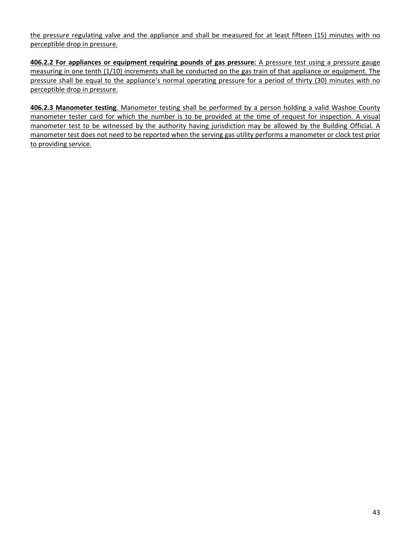the pressure regulating valve and the appliance and shall be measured for at least fifteen (15) minutes with no perceptible drop in pressure.

**406.2.2 For appliances or equipment requiring pounds of gas pressure:** A pressure test using a pressure gauge measuring in one tenth (1/10) increments shall be conducted on the gas train of that appliance or equipment. The pressure shall be equal to the appliance's normal operating pressure for a period of thirty (30) minutes with no perceptible drop in pressure.

**406.2.3 Manometer testing**. Manometer testing shall be performed by a person holding a valid Washoe County manometer tester card for which the number is to be provided at the time of request for inspection. A visual manometer test to be witnessed by the authority having jurisdiction may be allowed by the Building Official. A manometer test does not need to be reported when the serving gas utility performs a manometer or clock test prior to providing service.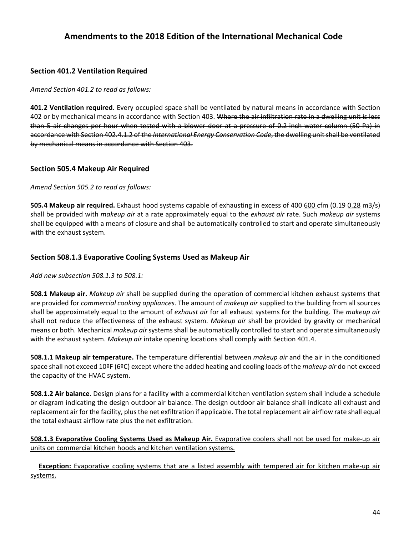## **Amendments to the 2018 Edition of the International Mechanical Code**

### **Section 401.2 Ventilation Required**

*Amend Section 401.2 to read as follows:*

**401.2 Ventilation required.** Every occupied space shall be ventilated by natural means in accordance with Section 402 or by mechanical means in accordance with Section 403. Where the air infiltration rate in a dwelling unit is less than 5 air changes per hour when tested with a blower door at a pressure of 0.2‐inch water column (50 Pa) in accordance with Section 402.4.1.2 of the *International Energy Conservation Code*, the dwelling unitshall be ventilated by mechanical means in accordance with Section 403.

### **Section 505.4 Makeup Air Required**

*Amend Section 505.2 to read as follows:*

**505.4 Makeup air required.** Exhaust hood systems capable of exhausting in excess of 400 600 cfm (0.19 0.28 m3/s) shall be provided with *makeup air* at a rate approximately equal to the *exhaust air* rate. Such *makeup air* systems shall be equipped with a means of closure and shall be automatically controlled to start and operate simultaneously with the exhaust system.

### **Section 508.1.3 Evaporative Cooling Systems Used as Makeup Air**

*Add new subsection 508.1.3 to 508.1:*

**508.1 Makeup air.** *Makeup air* shall be supplied during the operation of commercial kitchen exhaust systems that are provided for *commercial cooking appliances*. The amount of *makeup air* supplied to the building from all sources shall be approximately equal to the amount of *exhaust air* for all exhaust systems for the building. The *makeup air* shall not reduce the effectiveness of the exhaust system. *Makeup air* shall be provided by gravity or mechanical means or both. Mechanical *makeup air*systemsshall be automatically controlled to start and operate simultaneously with the exhaust system. *Makeup air* intake opening locations shall comply with Section 401.4.

**508.1.1 Makeup air temperature.** The temperature differential between *makeup air* and the air in the conditioned space shall not exceed 10ºF (6ºC) except where the added heating and cooling loads of the *makeup air* do not exceed the capacity of the HVAC system.

**508.1.2 Air balance.** Design plans for a facility with a commercial kitchen ventilation system shall include a schedule or diagram indicating the design outdoor air balance. The design outdoor air balance shall indicate all exhaust and replacement air for the facility, plus the net exfiltration if applicable. The total replacement air airflow rate shall equal the total exhaust airflow rate plus the net exfiltration.

**508.1.3 Evaporative Cooling Systems Used as Makeup Air.** Evaporative coolers shall not be used for make‐up air units on commercial kitchen hoods and kitchen ventilation systems.

**Exception:** Evaporative cooling systems that are a listed assembly with tempered air for kitchen make-up air systems.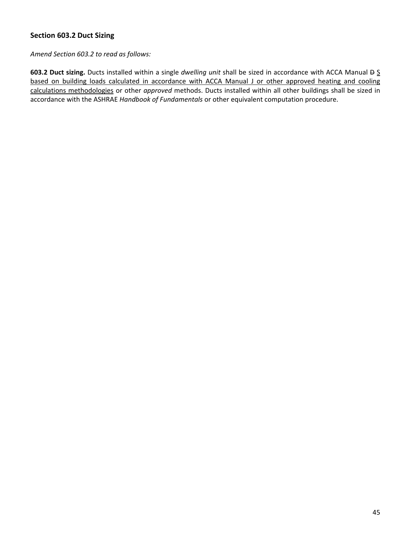### **Section 603.2 Duct Sizing**

*Amend Section 603.2 to read as follows:*

**603.2 Duct sizing.** Ducts installed within a single *dwelling unit* shall be sized in accordance with ACCA Manual D S based on building loads calculated in accordance with ACCA Manual J or other approved heating and cooling calculations methodologies or other *approved* methods. Ducts installed within all other buildings shall be sized in accordance with the ASHRAE *Handbook of Fundamentals* or other equivalent computation procedure.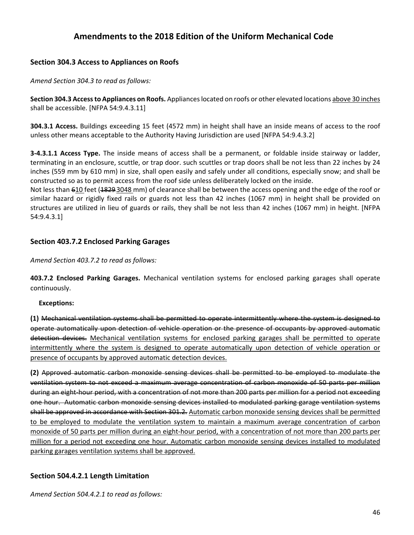# **Amendments to the 2018 Edition of the Uniform Mechanical Code**

### **Section 304.3 Access to Appliances on Roofs**

*Amend Section 304.3 to read as follows:*

**Section 304.3 Accessto Appliances on Roofs.** Applianceslocated on roofs or other elevated locations above 30 inches shall be accessible. [NFPA 54:9.4.3.11]

**304.3.1 Access.** Buildings exceeding 15 feet (4572 mm) in height shall have an inside means of access to the roof unless other means acceptable to the Authority Having Jurisdiction are used [NFPA 54:9.4.3.2]

**3‐4.3.1.1 Access Type.** The inside means of access shall be a permanent, or foldable inside stairway or ladder, terminating in an enclosure, scuttle, or trap door. such scuttles or trap doors shall be not less than 22 inches by 24 inches (559 mm by 610 mm) in size, shall open easily and safely under all conditions, especially snow; and shall be constructed so as to permit access from the roof side unless deliberately locked on the inside.

Not less than 610 feet (1829.3048 mm) of clearance shall be between the access opening and the edge of the roof or similar hazard or rigidly fixed rails or guards not less than 42 inches (1067 mm) in height shall be provided on structures are utilized in lieu of guards or rails, they shall be not less than 42 inches (1067 mm) in height. [NFPA 54:9.4.3.1]

### **Section 403.7.2 Enclosed Parking Garages**

*Amend Section 403.7.2 to read as follows:*

**403.7.2 Enclosed Parking Garages.** Mechanical ventilation systems for enclosed parking garages shall operate continuously.

### **Exceptions:**

**(1)** Mechanical ventilation systems shall be permitted to operate intermittently where the system is designed to operate automatically upon detection of vehicle operation or the presence of occupants by approved automatic detection devices. Mechanical ventilation systems for enclosed parking garages shall be permitted to operate intermittently where the system is designed to operate automatically upon detection of vehicle operation or presence of occupants by approved automatic detection devices.

**(2)** Approved automatic carbon monoxide sensing devices shall be permitted to be employed to modulate the ventilation system to not exceed a maximum average concentration of carbon monoxide of 50 parts per million during an eight‐hour period, with a concentration of not more than 200 parts per million for a period not exceeding one hour. Automatic carbon monoxide sensing devices installed to modulated parking garage ventilation systems shall be approved in accordance with Section 301.2. Automatic carbon monoxide sensing devices shall be permitted to be employed to modulate the ventilation system to maintain a maximum average concentration of carbon monoxide of 50 parts per million during an eight‐hour period, with a concentration of not more than 200 parts per million for a period not exceeding one hour. Automatic carbon monoxide sensing devices installed to modulated parking garages ventilation systems shall be approved.

### **Section 504.4.2.1 Length Limitation**

*Amend Section 504.4.2.1 to read as follows:*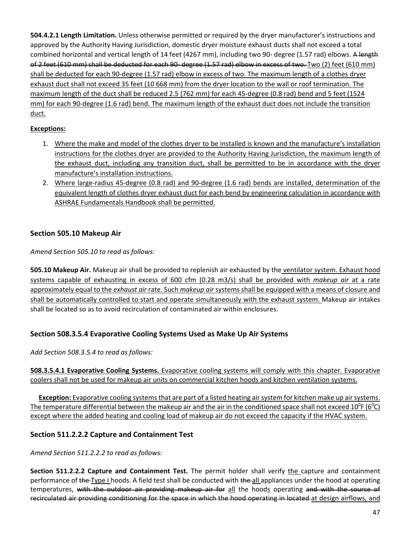**504.4.2.1 Length Limitation.** Unless otherwise permitted or required by the dryer manufacturer's instructions and approved by the Authority Having Jurisdiction, domestic dryer moisture exhaust ducts shall not exceed a total combined horizontal and vertical length of 14 feet (4267 mm), including two 90- degree (1.57 rad) elbows. A length of 2 feet (610 mm) shall be deducted for each 90-degree (1.57 rad) elbow in excess of two. Two (2) feet (610 mm) shall be deducted for each 90‐degree (1.57 rad) elbow in excess of two. The maximum length of a clothes dryer exhaust duct shall not exceed 35 feet (10 668 mm) from the dryer location to the wall or roof termination. The maximum length of the duct shall be reduced 2.5 (762 mm) for each 45‐degree (0.8 rad) bend and 5 feet (1524 mm) for each 90-degree (1.6 rad) bend. The maximum length of the exhaust duct does not include the transition duct.

### **Exceptions:**

- 1. Where the make and model of the clothes dryer to be installed is known and the manufacture's installation instructions for the clothes dryer are provided to the Authority Having Jurisdiction, the maximum length of the exhaust duct, including any transition duct, shall be permitted to be in accordance with the dryer manufacture's installation instructions.
- 2. Where large‐radius 45‐degree (0.8 rad) and 90‐degree (1.6 rad) bends are installed, determination of the equivalent length of clothes dryer exhaust duct for each bend by engineering calculation in accordance with ASHRAE Fundamentals Handbook shall be permitted.

### **Section 505.10 Makeup Air**

*Amend Section 505.10 to read as follows:*

**505.10 Makeup Air.** Makeup air shall be provided to replenish air exhausted by the ventilator system. Exhaust hood systems capable of exhausting in excess of 600 cfm (0.28 m3/s) shall be provided with *makeup air* at a rate approximately equal to the *exhaust air* rate. Such *makeup air* systems shall be equipped with a means of closure and shall be automatically controlled to start and operate simultaneously with the exhaust system. Makeup air intakes shall be located so as to avoid recirculation of contaminated air within enclosures.

### **Section 508.3.5.4 Evaporative Cooling Systems Used as Make Up Air Systems**

*Add Section 508.3.5.4 to read as follows:*

**508.3.5.4.1 Evaporative Cooling Systems.** Evaporative cooling systems will comply with this chapter. Evaporative coolers shall not be used for makeup air units on commercial kitchen hoods and kitchen ventilation systems.

**Exception:** Evaporative cooling systems that are part of a listed heating air system for kitchen make up air systems. The temperature differential between the makeup air and the air in the conditioned space shall not exceed 10<sup>0</sup>F (6<sup>0</sup>C) except where the added heating and cooling load of makeup air do not exceed the capacity if the HVAC system.

### **Section 511.2.2.2 Capture and Containment Test**

*Amend Section 511.2.2.2 to read as follows:*

**Section 511.2.2.2 Capture and Containment Test.** The permit holder shall verify the capture and containment performance of the Type I hoods. A field test shall be conducted with the all appliances under the hood at operating temperatures, with the outdoor air providing makeup air for all the hoods operating and with the source of recirculated air providing conditioning for the space in which the hood operating in located at design airflows, and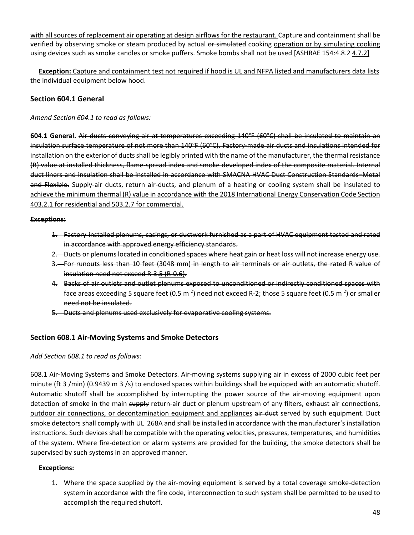with all sources of replacement air operating at design airflows for the restaurant. Capture and containment shall be verified by observing smoke or steam produced by actual or simulated cooking operation or by simulating cooking using devices such as smoke candles or smoke puffers. Smoke bombs shall not be used [ASHRAE 154:4.8.2-4.7.2]

**Exception:** Capture and containment test not required if hood is UL and NFPA listed and manufacturers data lists the individual equipment below hood.

### **Section 604.1 General**

*Amend Section 604.1 to read as follows:*

**604.1 General.** Air ducts conveying air at temperatures exceeding 140°F (60°C) shall be insulated to maintain an insulation surface temperature of not more than 140°F (60°C). Factory made air ducts and insulations intended for installation on the exterior of ducts shall be legibly printed with the name of the manufacturer, the thermal resistance (R) value at installed thickness, flame‐spread index and smoke developed index of the composite material. Internal duct liners and insulation shall be installed in accordance with SMACNA HVAC Duct Construction Standards–Metal and Flexible. Supply-air ducts, return air-ducts, and plenum of a heating or cooling system shall be insulated to achieve the minimum thermal (R) value in accordance with the 2018 International Energy Conservation Code Section 403.2.1 for residential and 503.2.7 for commercial.

#### **Exceptions:**

- 1. Factory installed plenums, casings, or ductwork furnished as a part of HVAC equipment tested and rated in accordance with approved energy efficiency standards.
- 2. Ducts or plenums located in conditioned spaces where heat gain or heat loss will not increase energy use.
- 3. For runouts less than 10 feet (3048 mm) in length to air terminals or air outlets, the rated R value of insulation need not exceed R‐3.5 (R‐0.6).
- 4. Backs of air outlets and outlet plenums exposed to unconditioned or indirectly conditioned spaces with face areas exceeding 5 square feet (0.5 m <sup>2</sup>) need not exceed R-2; those 5 square feet (0.5 m <sup>2</sup>) or smaller need not be insulated.
- 5. Ducts and plenums used exclusively for evaporative cooling systems.

### **Section 608.1 Air‐Moving Systems and Smoke Detectors**

### *Add Section 608.1 to read as follows:*

608.1 Air‐Moving Systems and Smoke Detectors. Air‐moving systems supplying air in excess of 2000 cubic feet per minute (ft 3 /min) (0.9439 m 3 /s) to enclosed spaces within buildings shall be equipped with an automatic shutoff. Automatic shutoff shall be accomplished by interrupting the power source of the air‐moving equipment upon detection of smoke in the main supply return-air duct or plenum upstream of any filters, exhaust air connections, outdoor air connections, or decontamination equipment and appliances air duct served by such equipment. Duct smoke detectors shall comply with UL 268A and shall be installed in accordance with the manufacturer's installation instructions. Such devices shall be compatible with the operating velocities, pressures, temperatures, and humidities of the system. Where fire‐detection or alarm systems are provided for the building, the smoke detectors shall be supervised by such systems in an approved manner.

### **Exceptions:**

1. Where the space supplied by the air-moving equipment is served by a total coverage smoke-detection system in accordance with the fire code, interconnection to such system shall be permitted to be used to accomplish the required shutoff.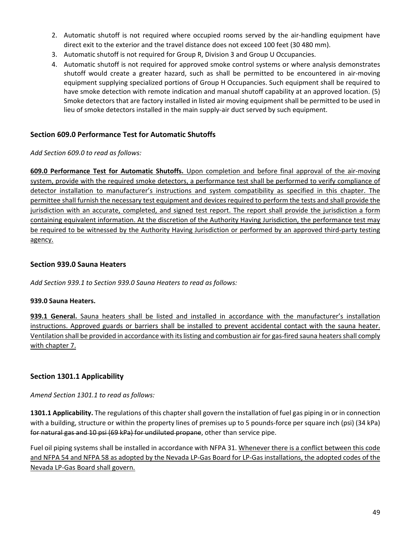- 2. Automatic shutoff is not required where occupied rooms served by the air-handling equipment have direct exit to the exterior and the travel distance does not exceed 100 feet (30 480 mm).
- 3. Automatic shutoff is not required for Group R, Division 3 and Group U Occupancies.
- 4. Automatic shutoff is not required for approved smoke control systems or where analysis demonstrates shutoff would create a greater hazard, such as shall be permitted to be encountered in air‐moving equipment supplying specialized portions of Group H Occupancies. Such equipment shall be required to have smoke detection with remote indication and manual shutoff capability at an approved location. (5) Smoke detectors that are factory installed in listed air moving equipment shall be permitted to be used in lieu of smoke detectors installed in the main supply‐air duct served by such equipment.

### **Section 609.0 Performance Test for Automatic Shutoffs**

*Add Section 609.0 to read as follows:*

**609.0 Performance Test for Automatic Shutoffs.** Upon completion and before final approval of the air‐moving system, provide with the required smoke detectors, a performance test shall be performed to verify compliance of detector installation to manufacturer's instructions and system compatibility as specified in this chapter. The permittee shall furnish the necessary test equipment and devices required to perform the tests and shall provide the jurisdiction with an accurate, completed, and signed test report. The report shall provide the jurisdiction a form containing equivalent information. At the discretion of the Authority Having Jurisdiction, the performance test may be required to be witnessed by the Authority Having Jurisdiction or performed by an approved third-party testing agency.

### **Section 939.0 Sauna Heaters**

*Add Section 939.1 to Section 939.0 Sauna Heaters to read as follows:*

### **939.0 Sauna Heaters.**

**939.1 General.** Sauna heaters shall be listed and installed in accordance with the manufacturer's installation instructions. Approved guards or barriers shall be installed to prevent accidental contact with the sauna heater. Ventilation shall be provided in accordance with its listing and combustion air for gas-fired sauna heaters shall comply with chapter 7.

### **Section 1301.1 Applicability**

*Amend Section 1301.1 to read as follows:*

**1301.1 Applicability.** The regulations of this chapter shall govern the installation of fuel gas piping in or in connection with a building, structure or within the property lines of premises up to 5 pounds-force per square inch (psi) (34 kPa) for natural gas and 10 psi (69 kPa) for undiluted propane, other than service pipe.

Fuel oil piping systems shall be installed in accordance with NFPA 31. Whenever there is a conflict between this code and NFPA 54 and NFPA 58 as adopted by the Nevada LP‐Gas Board for LP‐Gas installations, the adopted codes of the Nevada LP‐Gas Board shall govern.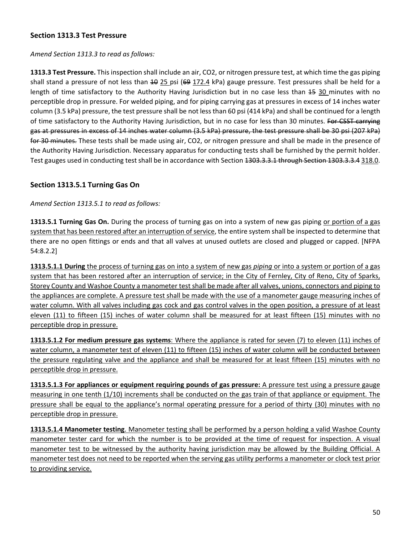### **Section 1313.3 Test Pressure**

### *Amend Section 1313.3 to read as follows:*

**1313.3 Test Pressure.** This inspection shall include an air, CO2, or nitrogen pressure test, at which time the gas piping shall stand a pressure of not less than 40 25 psi (69 172.4 kPa) gauge pressure. Test pressures shall be held for a length of time satisfactory to the Authority Having Jurisdiction but in no case less than 45 30 minutes with no perceptible drop in pressure. For welded piping, and for piping carrying gas at pressures in excess of 14 inches water column (3.5 kPa) pressure, the test pressure shall be not less than 60 psi (414 kPa) and shall be continued for a length of time satisfactory to the Authority Having Jurisdiction, but in no case for less than 30 minutes. For CSST carrying gas at pressures in excess of 14 inches water column (3.5 kPa) pressure, the test pressure shall be 30 psi (207 kPa) for 30 minutes. These tests shall be made using air, CO2, or nitrogen pressure and shall be made in the presence of the Authority Having Jurisdiction. Necessary apparatus for conducting tests shall be furnished by the permit holder. Test gauges used in conducting test shall be in accordance with Section 1303.3.3.1 through Section 1303.3.3.4 318.0.

### **Section 1313.5.1 Turning Gas On**

*Amend Section 1313.5.1 to read as follows:*

**1313.5.1 Turning Gas On.** During the process of turning gas on into a system of new gas piping or portion of a gas system that has been restored after an interruption of service, the entire system shall be inspected to determine that there are no open fittings or ends and that all valves at unused outlets are closed and plugged or capped. [NFPA 54:8.2.2]

**1313.5.1.1 During** the process of turning gas on into a system of new gas *piping* or into a system or portion of a gas system that has been restored after an interruption of service; in the City of Fernley, City of Reno, City of Sparks, Storey County and Washoe County a manometer test shall be made after all valves, unions, connectors and piping to the appliances are complete. A pressure test shall be made with the use of a manometer gauge measuring inches of water column. With all valves including gas cock and gas control valves in the open position, a pressure of at least eleven (11) to fifteen (15) inches of water column shall be measured for at least fifteen (15) minutes with no perceptible drop in pressure.

**1313.5.1.2 For medium pressure gas systems**: Where the appliance is rated for seven (7) to eleven (11) inches of water column, a manometer test of eleven (11) to fifteen (15) inches of water column will be conducted between the pressure regulating valve and the appliance and shall be measured for at least fifteen (15) minutes with no perceptible drop in pressure.

**1313.5.1.3 For appliances or equipment requiring pounds of gas pressure:** A pressure test using a pressure gauge measuring in one tenth (1/10) increments shall be conducted on the gas train of that appliance or equipment. The pressure shall be equal to the appliance's normal operating pressure for a period of thirty (30) minutes with no perceptible drop in pressure.

**1313.5.1.4 Manometer testing**. Manometer testing shall be performed by a person holding a valid Washoe County manometer tester card for which the number is to be provided at the time of request for inspection. A visual manometer test to be witnessed by the authority having jurisdiction may be allowed by the Building Official. A manometer test does not need to be reported when the serving gas utility performs a manometer or clock test prior to providing service.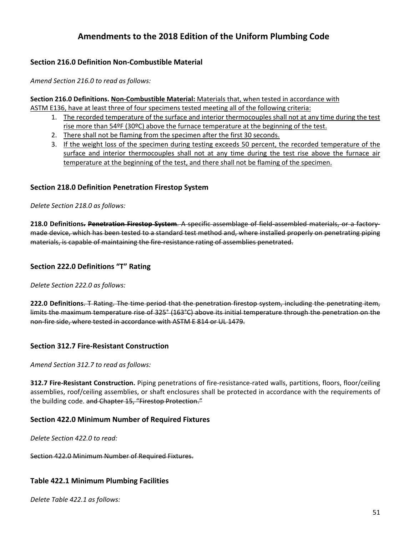# **Amendments to the 2018 Edition of the Uniform Plumbing Code**

### **Section 216.0 Definition Non‐Combustible Material**

*Amend Section 216.0 to read as follows:*

**Section 216.0 Definitions. Non‐Combustible Material:** Materials that, when tested in accordance with ASTM E136, have at least three of four specimens tested meeting all of the following criteria:

- 1. The recorded temperature of the surface and interior thermocouples shall not at any time during the test rise more than 54ºF (30ºC) above the furnace temperature at the beginning of the test.
- 2. There shall not be flaming from the specimen after the first 30 seconds.
- 3. If the weight loss of the specimen during testing exceeds 50 percent, the recorded temperature of the surface and interior thermocouples shall not at any time during the test rise above the furnace air temperature at the beginning of the test, and there shall not be flaming of the specimen.

### **Section 218.0 Definition Penetration Firestop System**

*Delete Section 218.0 as follows:*

**218.0 Definitions. Penetration Firestop System**. A specific assemblage of field‐assembled materials, or a factory‐ made device, which has been tested to a standard test method and, where installed properly on penetrating piping materials, is capable of maintaining the fire-resistance rating of assemblies penetrated.

### **Section 222.0 Definitions "T" Rating**

*Delete Section 222.0 as follows:*

**222.0 Definitions**. T Rating. The time period that the penetration firestop system, including the penetrating item, limits the maximum temperature rise of 325° (163°C) above its initial temperature through the penetration on the non‐fire side, where tested in accordance with ASTM E 814 or UL 1479.

### **Section 312.7 Fire‐Resistant Construction**

*Amend Section 312.7 to read as follows:*

**312.7 Fire‐Resistant Construction.** Piping penetrations of fire‐resistance‐rated walls, partitions, floors, floor/ceiling assemblies, roof/ceiling assemblies, or shaft enclosures shall be protected in accordance with the requirements of the building code. and Chapter 15, "Firestop Protection."

### **Section 422.0 Minimum Number of Required Fixtures**

*Delete Section 422.0 to read:*

Section 422.0 Minimum Number of Required Fixtures.

### **Table 422.1 Minimum Plumbing Facilities**

*Delete Table 422.1 as follows:*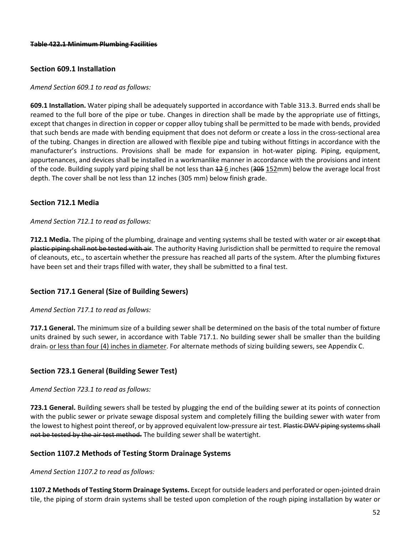### **Section 609.1 Installation**

#### *Amend Section 609.1 to read as follows:*

**609.1 Installation.** Water piping shall be adequately supported in accordance with Table 313.3. Burred ends shall be reamed to the full bore of the pipe or tube. Changes in direction shall be made by the appropriate use of fittings, except that changes in direction in copper or copper alloy tubing shall be permitted to be made with bends, provided that such bends are made with bending equipment that does not deform or create a loss in the cross‐sectional area of the tubing. Changes in direction are allowed with flexible pipe and tubing without fittings in accordance with the manufacturer's instructions. Provisions shall be made for expansion in hot‐water piping. Piping, equipment, appurtenances, and devices shall be installed in a workmanlike manner in accordance with the provisions and intent of the code. Building supply yard piping shall be not less than  $\pm 2$  6 inches (305 152mm) below the average local frost depth. The cover shall be not less than 12 inches (305 mm) below finish grade.

### **Section 712.1 Media**

#### *Amend Section 712.1 to read as follows:*

**712.1 Media.** The piping of the plumbing, drainage and venting systems shall be tested with water or air except that plastic piping shall not be tested with air. The authority Having Jurisdiction shall be permitted to require the removal of cleanouts, etc., to ascertain whether the pressure has reached all parts of the system. After the plumbing fixtures have been set and their traps filled with water, they shall be submitted to a final test.

### **Section 717.1 General (Size of Building Sewers)**

#### *Amend Section 717.1 to read as follows:*

**717.1 General.** The minimum size of a building sewer shall be determined on the basis of the total number of fixture units drained by such sewer, in accordance with Table 717.1. No building sewer shall be smaller than the building drain. or less than four (4) inches in diameter. For alternate methods of sizing building sewers, see Appendix C.

### **Section 723.1 General (Building Sewer Test)**

*Amend Section 723.1 to read as follows:*

**723.1 General.** Building sewers shall be tested by plugging the end of the building sewer at its points of connection with the public sewer or private sewage disposal system and completely filling the building sewer with water from the lowest to highest point thereof, or by approved equivalent low-pressure air test. Plastic DWV piping systems shall not be tested by the air test method. The building sewer shall be watertight.

### **Section 1107.2 Methods of Testing Storm Drainage Systems**

*Amend Section 1107.2 to read as follows:*

**1107.2 Methods of Testing Storm Drainage Systems.** Except for outside leaders and perforated or open‐jointed drain tile, the piping of storm drain systems shall be tested upon completion of the rough piping installation by water or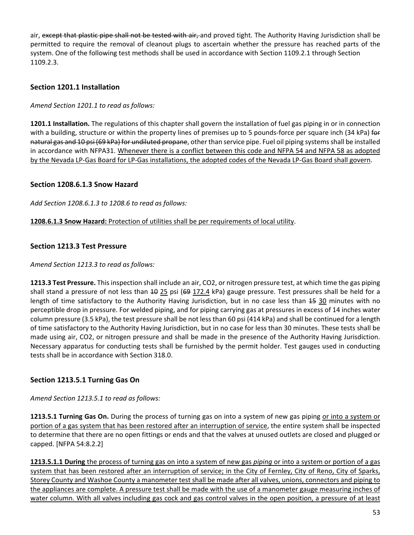air, except that plastic pipe shall not be tested with air, and proved tight. The Authority Having Jurisdiction shall be permitted to require the removal of cleanout plugs to ascertain whether the pressure has reached parts of the system. One of the following test methods shall be used in accordance with Section 1109.2.1 through Section 1109.2.3.

### **Section 1201.1 Installation**

*Amend Section 1201.1 to read as follows:*

**1201.1 Installation.** The regulations of this chapter shall govern the installation of fuel gas piping in or in connection with a building, structure or within the property lines of premises up to 5 pounds-force per square inch (34 kPa) for natural gas and 10 psi (69 kPa) for undiluted propane, other than service pipe. Fuel oil piping systems shall be installed in accordance with NFPA31. Whenever there is a conflict between this code and NFPA 54 and NFPA 58 as adopted by the Nevada LP‐Gas Board for LP‐Gas installations, the adopted codes of the Nevada LP‐Gas Board shall govern.

### **Section 1208.6.1.3 Snow Hazard**

*Add Section 1208.6.1.3 to 1208.6 to read as follows:*

**1208.6.1.3 Snow Hazard:** Protection of utilities shall be per requirements of local utility.

### **Section 1213.3 Test Pressure**

#### *Amend Section 1213.3 to read as follows:*

**1213.3 Test Pressure.** This inspection shall include an air, CO2, or nitrogen pressure test, at which time the gas piping shall stand a pressure of not less than <del>10</del> 25 psi (<del>69</del> 172.4 kPa) gauge pressure. Test pressures shall be held for a length of time satisfactory to the Authority Having Jurisdiction, but in no case less than 45 30 minutes with no perceptible drop in pressure. For welded piping, and for piping carrying gas at pressures in excess of 14 inches water column pressure (3.5 kPa), the test pressure shall be not less than 60 psi (414 kPa) and shall be continued for a length of time satisfactory to the Authority Having Jurisdiction, but in no case for less than 30 minutes. These tests shall be made using air, CO2, or nitrogen pressure and shall be made in the presence of the Authority Having Jurisdiction. Necessary apparatus for conducting tests shall be furnished by the permit holder. Test gauges used in conducting tests shall be in accordance with Section 318.0.

### **Section 1213.5.1 Turning Gas On**

*Amend Section 1213.5.1 to read as follows:*

**1213.5.1 Turning Gas On.** During the process of turning gas on into a system of new gas piping or into a system or portion of a gas system that has been restored after an interruption of service, the entire system shall be inspected to determine that there are no open fittings or ends and that the valves at unused outlets are closed and plugged or capped. [NFPA 54:8.2.2]

**1213.5.1.1 During** the process of turning gas on into a system of new gas *piping* or into a system or portion of a gas system that has been restored after an interruption of service; in the City of Fernley, City of Reno, City of Sparks, Storey County and Washoe County a manometer test shall be made after all valves, unions, connectors and piping to the appliances are complete. A pressure test shall be made with the use of a manometer gauge measuring inches of water column. With all valves including gas cock and gas control valves in the open position, a pressure of at least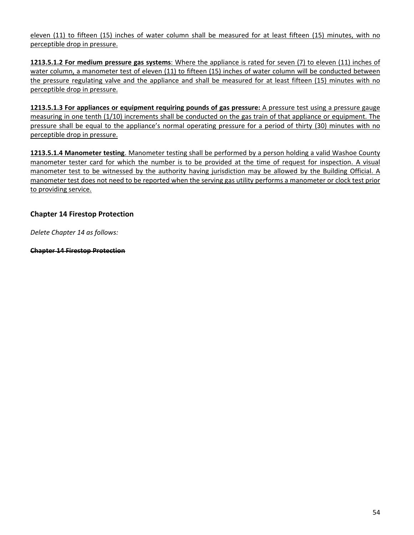eleven (11) to fifteen (15) inches of water column shall be measured for at least fifteen (15) minutes, with no perceptible drop in pressure.

**1213.5.1.2 For medium pressure gas systems**: Where the appliance is rated for seven (7) to eleven (11) inches of water column, a manometer test of eleven (11) to fifteen (15) inches of water column will be conducted between the pressure regulating valve and the appliance and shall be measured for at least fifteen (15) minutes with no perceptible drop in pressure.

**1213.5.1.3 For appliances or equipment requiring pounds of gas pressure:** A pressure test using a pressure gauge measuring in one tenth (1/10) increments shall be conducted on the gas train of that appliance or equipment. The pressure shall be equal to the appliance's normal operating pressure for a period of thirty (30) minutes with no perceptible drop in pressure.

**1213.5.1.4 Manometer testing**. Manometer testing shall be performed by a person holding a valid Washoe County manometer tester card for which the number is to be provided at the time of request for inspection. A visual manometer test to be witnessed by the authority having jurisdiction may be allowed by the Building Official. A manometer test does not need to be reported when the serving gas utility performs a manometer or clock test prior to providing service.

### **Chapter 14 Firestop Protection**

*Delete Chapter 14 as follows:*

**Chapter 14 Firestop Protection**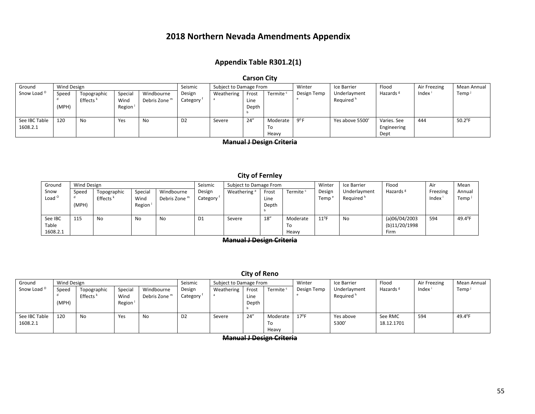### **2018 Northern Nevada Amendments Appendix**

### **Appendix Table R301.2(1)**

#### **Carson City**

| Ground                    | Wind Design    |                                     |                                        |                             | Seismic            | Subject to Damage From |                        |                         | Winter      | Ice Barrier                           | Flood                              | Air Freezing | Mean Annual      |
|---------------------------|----------------|-------------------------------------|----------------------------------------|-----------------------------|--------------------|------------------------|------------------------|-------------------------|-------------|---------------------------------------|------------------------------------|--------------|------------------|
| Snow Load <sup>o</sup>    | Speed<br>(MPH) | Topographic<br>Effects <sup>k</sup> | Special<br>Wind<br>Region <sup>1</sup> | Windbourne<br>Debris Zone m | Design<br>Category | Weathering             | Frost<br>Line<br>Depth | Termite <sup>c</sup>    | Design Temp | Underlayment<br>Required <sup>h</sup> | Hazards <sup>g</sup>               | Index        | Temp             |
| See IBC Table<br>1608.2.1 | 120            | No                                  | Yes                                    | No                          | D <sub>2</sub>     | Severe                 | 24''                   | Moderate<br>To<br>Heavy | $Q^0 F$     | Yes above 5500'                       | Varies. See<br>Engineering<br>Dept | 444          | $50.2^{\circ}$ F |

**Manual J Design Criteria**

### **City of Fernley**

| Ground                       | <b>Wind Design</b> |                                     |                           |                                        | Seismic            | Subject to Damage From  |                        |                         | Winter         | Ice Barrier                           | Flood                                         | Air               | Mean            |
|------------------------------|--------------------|-------------------------------------|---------------------------|----------------------------------------|--------------------|-------------------------|------------------------|-------------------------|----------------|---------------------------------------|-----------------------------------------------|-------------------|-----------------|
| Snow<br>Load <sup>o</sup>    | Speed<br>(MPH)     | Topographic<br>Effects <sup>k</sup> | Special<br>Wind<br>Region | Windbourne<br>Debris Zone <sup>m</sup> | Design<br>Category | Weathering <sup>a</sup> | Frost<br>Line<br>Depth | Termite <sup>c</sup>    | Design<br>Temp | Underlayment<br>Required <sup>h</sup> | Hazards <sup>8</sup>                          | Freezing<br>Index | Annual<br>Temp  |
| See IBC<br>Table<br>1608.2.1 | 115                | No                                  | No                        | No                                     | D <sub>1</sub>     | Severe                  | 18''                   | Moderate<br>To<br>Heavy | $11^0$ F       | <b>No</b>                             | (a)06/04/2003<br>(b)11/20/1998<br><b>Firm</b> | 594               | $49.4^{\circ}F$ |

**Manual J Design Criteria**

#### **City of Reno**

| Ground                    | Wind Design    |                                     | Seismic                   |                                        |                    | Subject to Damage From |                        |                         | Winter         | Ice Barrier                           | Flood                 | Air Freezing | Mean Annual       |
|---------------------------|----------------|-------------------------------------|---------------------------|----------------------------------------|--------------------|------------------------|------------------------|-------------------------|----------------|---------------------------------------|-----------------------|--------------|-------------------|
| Snow Load <sup>o</sup>    | Speed<br>(MPH) | Topographic<br>Effects <sup>k</sup> | Special<br>Wind<br>Region | Windbourne<br>Debris Zone <sup>r</sup> | Design<br>Category | Weathering             | Frost<br>Line<br>Depth | Termite <sup>c</sup>    | Design Temp    | Underlayment<br>Required <sup>h</sup> | Hazards <sup>8</sup>  | Index        | Temp <sup>1</sup> |
| See IBC Table<br>1608.2.1 | 120            | No                                  | Yes                       | No                                     | D <sub>2</sub>     | Severe                 | 24''                   | Moderate<br>To<br>Heavy | $17^{\circ}$ F | Yes above<br>5300'                    | See RMC<br>18.12.1701 | 594          | 49.4 $^{\circ}$ F |

**Manual J Design Criteria**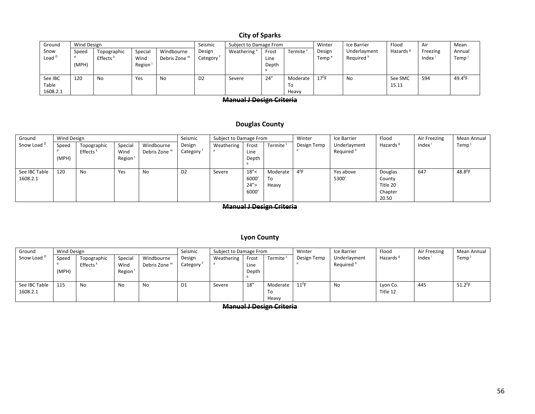### **City of Sparks**

| Ground                       | Wind Design    |                                     |                           |                             | Seismic<br>Subject to Damage From |                         |                        | Winter                  | Ice Barrier                 | Flood                                 | Air                  | Mean              |                             |
|------------------------------|----------------|-------------------------------------|---------------------------|-----------------------------|-----------------------------------|-------------------------|------------------------|-------------------------|-----------------------------|---------------------------------------|----------------------|-------------------|-----------------------------|
| Snow<br>Load $^{\circ}$      | Speed<br>(MPH) | Topographic<br>Effects <sup>k</sup> | Special<br>Wind<br>Region | Windbourne<br>Debris Zone m | Design<br>Category                | Weathering <sup>a</sup> | Frost<br>Line<br>Depth | Termite                 | Design<br>Temp <sup>®</sup> | Underlayment<br>Required <sup>'</sup> | Hazards <sup>8</sup> | Freezing<br>Index | Annual<br>Temp <sup>j</sup> |
| See IBC<br>Table<br>1608.2.1 | 120            | No                                  | Yes                       | No                          | D <sub>2</sub>                    | Severe                  | 24''                   | Moderate<br>To<br>Heavy | $17^{\circ}$ F              | No                                    | See SMC<br>15.11     | 594               | $49.4^{\circ}F$             |

#### **Manual J Design Criteria**

#### **Douglas County**

| Ground                    | Wind Design    |                                     |                           |                                        | Seismic            | Subject to Damage From |                                 |                         | Winter      | Ice Barrier                           | Flood                                             | Air Freezing | Mean Annual      |
|---------------------------|----------------|-------------------------------------|---------------------------|----------------------------------------|--------------------|------------------------|---------------------------------|-------------------------|-------------|---------------------------------------|---------------------------------------------------|--------------|------------------|
| Snow Load <sup>o</sup>    | Speed<br>(MPH) | Topographic<br>Effects <sup>k</sup> | Special<br>Wind<br>Region | Windbourne<br>Debris Zone <sup>m</sup> | Design<br>Category | Weathering             | Frost<br>Line<br>Depth          | Termite <sup>c</sup>    | Design Temp | Underlayment<br>Required <sup>h</sup> | Hazards <sup>g</sup>                              | Index        | Temp             |
| See IBC Table<br>1608.2.1 | 120            | No                                  | Yes                       | <b>No</b>                              | D <sub>2</sub>     | Severe                 | 18''<<br>6000'<br>24''<br>6000' | Moderate<br>To<br>Heavy | $4^0$ F     | Yes above<br>5300                     | Douglas<br>County<br>Title 20<br>Chapter<br>20.50 | 647          | $48.8^{\circ}$ F |

**Manual J Design Criteria**

#### **Lyon County**

| Ground                    | Wind Design    |                                     |                           |                                        | Seismic            | Subject to Damage From |                        |                         | Winter      | Ice Barrier                           | Flood                | Air Freezing | Mean Annual    |
|---------------------------|----------------|-------------------------------------|---------------------------|----------------------------------------|--------------------|------------------------|------------------------|-------------------------|-------------|---------------------------------------|----------------------|--------------|----------------|
| Snow Load <sup>o</sup>    | Speed<br>(MPH) | Topographic<br>Effects <sup>k</sup> | Special<br>Wind<br>Region | Windbourne<br>Debris Zone <sup>m</sup> | Design<br>Category | Weathering             | Frost<br>Line<br>Depth | Termite '               | Design Temp | Underlayment<br>Required <sup>h</sup> | Hazards <sup>8</sup> | Index        | Temp           |
| See IBC Table<br>1608.2.1 | 115            | No                                  | <b>No</b>                 | No                                     | D1                 | Severe                 | 18''                   | Moderate<br>То<br>Heavy | $11^0$ F    | <b>No</b>                             | Lyon Co.<br>Title 12 | 445          | $51.2^{\circ}$ |

**Manual J Design Criteria**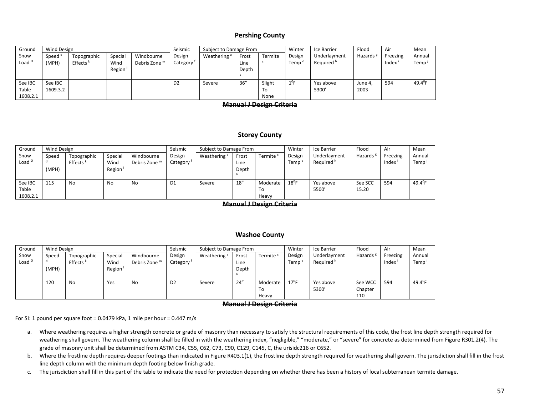#### **Pershing County**

| Ground                    | Wind Design                 |                                                                                                                         |  |  | Seismic                         | Subject to Damage From  |                        |              | Winter         | Ice Barrier                           | Flood                | Air               | Mean             |
|---------------------------|-----------------------------|-------------------------------------------------------------------------------------------------------------------------|--|--|---------------------------------|-------------------------|------------------------|--------------|----------------|---------------------------------------|----------------------|-------------------|------------------|
| Snow<br>Load <sup>o</sup> | Speed <sup>d</sup><br>(MPH) | Windbourne<br>Special<br>Topographic<br>Effects <sup><math>k</math></sup><br>Debris Zone <sup>m</sup><br>Wind<br>Region |  |  | Design<br>Category <sup>1</sup> | Weathering <sup>a</sup> | Frost<br>Line<br>Depth | Termite      | Design<br>Temp | Underlayment<br>Required <sup>h</sup> | Hazards <sup>8</sup> | Freezing<br>Index | Annual<br>Temp   |
| See IBC<br>Table          | See IBC<br>1609.3.2         |                                                                                                                         |  |  | D <sub>2</sub>                  | Severe                  | 36''                   | Slight<br>To | $1^0$ F        | Yes above<br>5300'                    | June 4,<br>2003      | 594               | $49.4^{\circ}$ F |
| 1608.2.1                  |                             |                                                                                                                         |  |  |                                 |                         |                        | None         |                |                                       |                      |                   |                  |

#### **Manual J Design Criteria**

#### **Storey County**

| Ground                       | Wind Design    |                                     |                                        |                             | Seismic            | Subject to Damage From  |                        |                         | Winter                    | Ice Barrier                           | Flood            | Air               | Mean             |
|------------------------------|----------------|-------------------------------------|----------------------------------------|-----------------------------|--------------------|-------------------------|------------------------|-------------------------|---------------------------|---------------------------------------|------------------|-------------------|------------------|
| Snow<br>Load <sup>o</sup>    | Speed<br>(MPH) | Topographic<br>Effects <sup>k</sup> | Special<br>Wind<br>Region <sup>1</sup> | Windbourne<br>Debris Zone m | Design<br>Category | Weathering <sup>a</sup> | Frost<br>Line<br>Depth | Termite <sup>c</sup>    | Design<br>Temp $\epsilon$ | Underlayment<br>Required <sup>h</sup> | Hazards          | Freezing<br>Index | Annual<br>Temp   |
| See IBC<br>Table<br>1608.2.1 | 115            | No                                  | No                                     | No                          | D1                 | Severe                  | 18''                   | Moderate<br>To<br>Heavy | $18^0$ F                  | Yes above<br>5500                     | See SCC<br>15.20 | 594               | $49.4^{\circ}$ F |

**Manual J Design Criteria**

#### **Washoe County**

| Ground            | <b>Wind Design</b> |                      |         |                          | Seismic  | Subject to Damage From  |       |                      | Winter         | Ice Barrier           | Flood   | Air      | Mean             |
|-------------------|--------------------|----------------------|---------|--------------------------|----------|-------------------------|-------|----------------------|----------------|-----------------------|---------|----------|------------------|
| Snow              | Speed              | Topographic          | Special | Windbourne               | Design   | Weathering <sup>a</sup> | Frost | Termite <sup>®</sup> | Design         | Underlayment          | Hazards | Freezing | Annual           |
| Load <sup>o</sup> |                    | Effects <sup>+</sup> | Wind    | Debris Zone <sup>m</sup> | Category |                         | Line  |                      | Temp           | Required <sup>h</sup> |         | Index    | Temp             |
|                   | (MPH)              |                      | Region  |                          |          |                         | Depth |                      |                |                       |         |          |                  |
|                   |                    |                      |         |                          |          |                         |       |                      |                |                       |         |          |                  |
|                   | 120                | <b>No</b>            | Yes     | No.                      | D2       | Severe                  | 24''  | Moderate             | $17^{\circ}$ F | Yes above             | See WCC | 594      | $49.4^{\circ}$ F |
|                   |                    |                      |         |                          |          |                         |       | To                   |                | 5300                  | Chapter |          |                  |
|                   |                    |                      |         |                          |          |                         |       | Heavy                |                |                       | 110     |          |                  |

#### **Manual J Design Criteria**

For SI: 1 pound per square foot <sup>=</sup> 0.0479 kPa, 1 mile per hour <sup>=</sup> 0.447 m/s

- a. Where weathering requires <sup>a</sup> higher strength concrete or grade of masonry than necessary to satisfy the structural requirements of this code, the frost line depth strength required for weathering shall govern. The weathering column shall be filled in with the weathering index, "negligible," "moderate," or "severe" for concrete as determined from Figure R301.2(4). The grade of masonry unit shall be determined from ASTM C34, C55, C62, C73, C90, C129, C145, C, the urisidc216 or C652.
- b. Where the frostline depth requires deeper footings than indicated in Figure R403.1(1), the frostline depth strength required for weathering shall govern. The jurisdiction shall fill in the frost line depth column with the minimum depth footing below finish grade.
- c. The jurisdiction shall fill in this part of the table to indicate the need for protection depending on whether there has been <sup>a</sup> history of local subterranean termite damage.